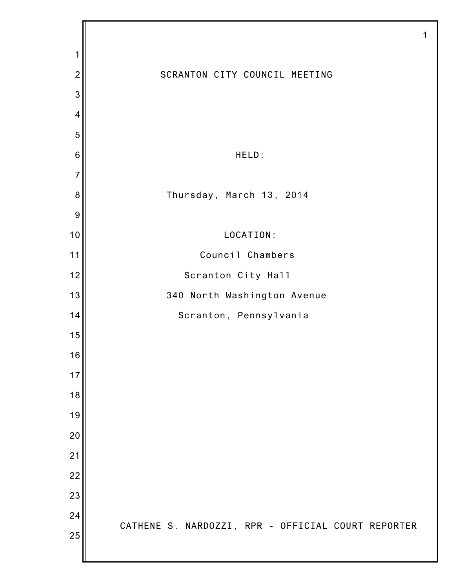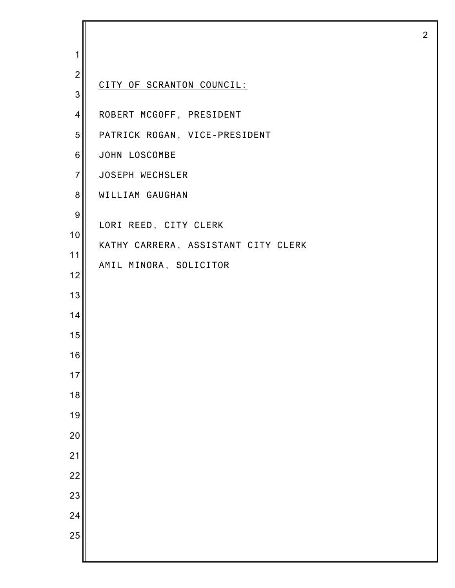| 1                |                                     |
|------------------|-------------------------------------|
| $\overline{2}$   | CITY OF SCRANTON COUNCIL:           |
| 3                |                                     |
| 4                | ROBERT MCGOFF, PRESIDENT            |
| 5                | PATRICK ROGAN, VICE-PRESIDENT       |
| 6                | JOHN LOSCOMBE                       |
| $\overline{7}$   | JOSEPH WECHSLER                     |
| 8                | WILLIAM GAUGHAN                     |
| $\boldsymbol{9}$ | LORI REED, CITY CLERK               |
| 10               | KATHY CARRERA, ASSISTANT CITY CLERK |
| 11               |                                     |
| 12               | AMIL MINORA, SOLICITOR              |
| 13               |                                     |
| 14               |                                     |
| 15               |                                     |
| 16               |                                     |
| 17               |                                     |
| 18               |                                     |
| 19               |                                     |
| 20               |                                     |
| 21               |                                     |
| 22               |                                     |
| 23               |                                     |
| 24               |                                     |
| 25               |                                     |
|                  |                                     |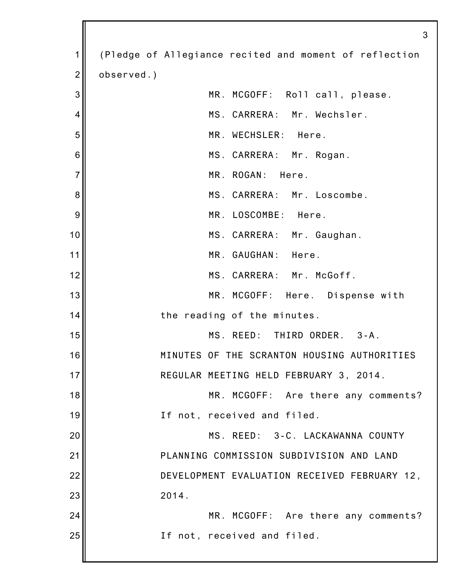|                | 3                                                      |
|----------------|--------------------------------------------------------|
| 1              | (Pledge of Allegiance recited and moment of reflection |
| $\overline{2}$ | observed.)                                             |
| 3              | MR. MCGOFF: Roll call, please.                         |
| 4              | MS. CARRERA: Mr. Wechsler.                             |
| 5              | MR. WECHSLER: Here.                                    |
| 6              | MS. CARRERA: Mr. Rogan.                                |
| $\overline{7}$ | MR. ROGAN: Here.                                       |
| 8              | MS. CARRERA: Mr. Loscombe.                             |
| 9              | MR. LOSCOMBE: Here.                                    |
| 10             | MS. CARRERA: Mr. Gaughan.                              |
| 11             | MR. GAUGHAN: Here.                                     |
| 12             | MS. CARRERA: Mr. McGoff.                               |
| 13             | MR. MCGOFF: Here. Dispense with                        |
| 14             | the reading of the minutes.                            |
| 15             | MS. REED: THIRD ORDER.<br>$3 - A$ .                    |
| 16             | MINUTES OF THE SCRANTON HOUSING AUTHORITIES            |
| 17             | REGULAR MEETING HELD FEBRUARY 3, 2014.                 |
| 18             | MR. MCGOFF: Are there any comments?                    |
| 19             | If not, received and filed.                            |
| 20             | MS. REED: 3-C. LACKAWANNA COUNTY                       |
| 21             | PLANNING COMMISSION SUBDIVISION AND LAND               |
| 22             | DEVELOPMENT EVALUATION RECEIVED FEBRUARY 12,           |
| 23             | 2014.                                                  |
| 24             | MR. MCGOFF: Are there any comments?                    |
| 25             | If not, received and filed.                            |
|                |                                                        |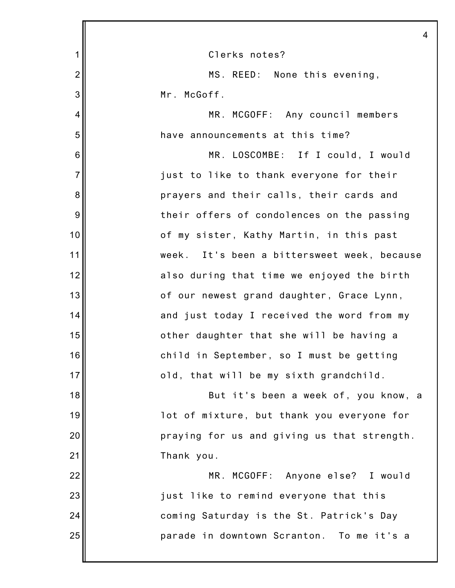|                | 4                                           |
|----------------|---------------------------------------------|
| 1              | Clerks notes?                               |
| $\overline{2}$ | MS. REED: None this evening,                |
| 3              | Mr. McGoff.                                 |
| 4              | MR. MCGOFF: Any council members             |
| 5              | have announcements at this time?            |
| 6              | MR. LOSCOMBE: If I could, I would           |
| $\overline{7}$ | just to like to thank everyone for their    |
| 8              | prayers and their calls, their cards and    |
| 9              | their offers of condolences on the passing  |
| 10             | of my sister, Kathy Martin, in this past    |
| 11             | week. It's been a bittersweet week, because |
| 12             | also during that time we enjoyed the birth  |
| 13             | of our newest grand daughter, Grace Lynn,   |
| 14             | and just today I received the word from my  |
| 15             | other daughter that she will be having a    |
| 16             | child in September, so I must be getting    |
| 17             | old, that will be my sixth grandchild.      |
| 18             | But it's been a week of, you know, a        |
| 19             | lot of mixture, but thank you everyone for  |
| 20             | praying for us and giving us that strength. |
| 21             | Thank you.                                  |
| 22             | MR. MCGOFF: Anyone else? I would            |
| 23             | just like to remind everyone that this      |
| 24             | coming Saturday is the St. Patrick's Day    |
| 25             | parade in downtown Scranton. To me it's a   |
|                |                                             |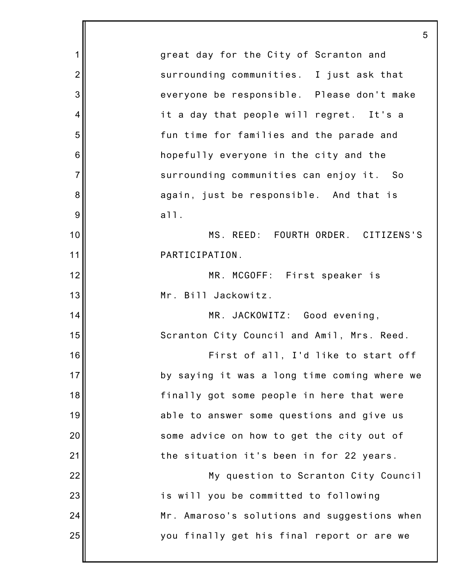|                | 5                                            |
|----------------|----------------------------------------------|
| 1              | great day for the City of Scranton and       |
| $\overline{2}$ | surrounding communities. I just ask that     |
| 3              | everyone be responsible. Please don't make   |
| 4              | it a day that people will regret. It's a     |
| 5              | fun time for families and the parade and     |
| 6              | hopefully everyone in the city and the       |
| $\overline{7}$ | surrounding communities can enjoy it. So     |
| 8              | again, just be responsible. And that is      |
| 9              | a11.                                         |
| 10             | MS. REED: FOURTH ORDER. CITIZENS'S           |
| 11             | PARTICIPATION.                               |
| 12             | MR. MCGOFF: First speaker is                 |
| 13             | Mr. Bill Jackowitz.                          |
| 14             | MR. JACKOWITZ: Good evening,                 |
| 15             | Scranton City Council and Amil, Mrs. Reed.   |
| 16             | First of all, I'd like to start off          |
| 17             | by saying it was a long time coming where we |
| 18             | finally got some people in here that were    |
| 19             | able to answer some questions and give us    |
| 20             | some advice on how to get the city out of    |
| 21             | the situation it's been in for 22 years.     |
| 22             | My question to Scranton City Council         |
| 23             | is will you be committed to following        |
| 24             | Mr. Amaroso's solutions and suggestions when |
| 25             | you finally get his final report or are we   |
|                |                                              |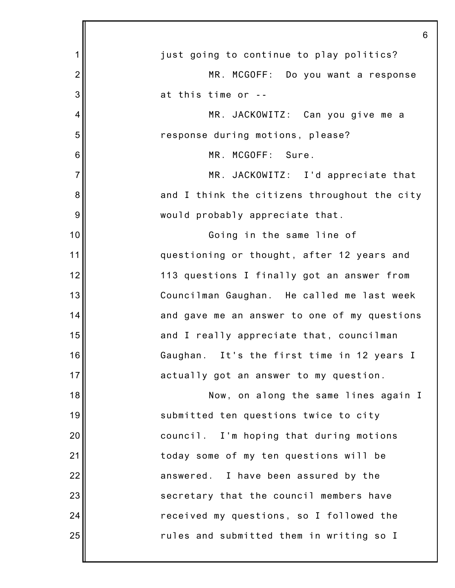|                | 6                                            |
|----------------|----------------------------------------------|
| 1              | just going to continue to play politics?     |
| $\overline{2}$ | MR. MCGOFF: Do you want a response           |
| 3              | at this time or --                           |
| 4              | MR. JACKOWITZ: Can you give me a             |
| 5              | response during motions, please?             |
| 6              | MR. MCGOFF: Sure.                            |
| $\overline{7}$ | MR. JACKOWITZ: I'd appreciate that           |
| 8              | and I think the citizens throughout the city |
| $9$            | would probably appreciate that.              |
| 10             | Going in the same line of                    |
| 11             | questioning or thought, after 12 years and   |
| 12             | 113 questions I finally got an answer from   |
| 13             | Councilman Gaughan. He called me last week   |
| 14             | and gave me an answer to one of my questions |
| 15             | and I really appreciate that, councilman     |
| 16             | Gaughan. It's the first time in 12 years I   |
| 17             | actually got an answer to my question.       |
| 18             | Now, on along the same lines again I         |
| 19             | submitted ten questions twice to city        |
| 20             | council. I'm hoping that during motions      |
| 21             | today some of my ten questions will be       |
| 22             | answered. I have been assured by the         |
| 23             | secretary that the council members have      |
| 24             | received my questions, so I followed the     |
| 25             | rules and submitted them in writing so I     |
|                |                                              |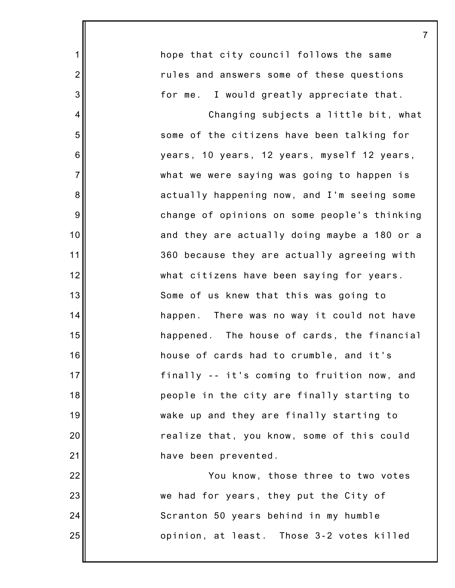|                | $\overline{7}$                               |
|----------------|----------------------------------------------|
| $\mathbf 1$    | hope that city council follows the same      |
| $\overline{2}$ | rules and answers some of these questions    |
| 3              | for me. I would greatly appreciate that.     |
| 4              | Changing subjects a little bit, what         |
| 5              | some of the citizens have been talking for   |
| 6              | years, 10 years, 12 years, myself 12 years,  |
| $\overline{7}$ | what we were saying was going to happen is   |
| 8              | actually happening now, and I'm seeing some  |
| $9\,$          | change of opinions on some people's thinking |
| 10             | and they are actually doing maybe a 180 or a |
| 11             | 360 because they are actually agreeing with  |
| 12             | what citizens have been saying for years.    |
| 13             | Some of us knew that this was going to       |
| 14             | happen. There was no way it could not have   |
| 15             | happened. The house of cards, the financial  |
| 16             | house of cards had to crumble, and it's      |
| 17             | finally -- it's coming to fruition now, and  |
| 18             | people in the city are finally starting to   |
| 19             | wake up and they are finally starting to     |
| 20             | realize that, you know, some of this could   |
| 21             | have been prevented.                         |
| 22             | You know, those three to two votes           |
| 23             | we had for years, they put the City of       |
| 24             | Scranton 50 years behind in my humble        |
| 25             | opinion, at least. Those 3-2 votes killed    |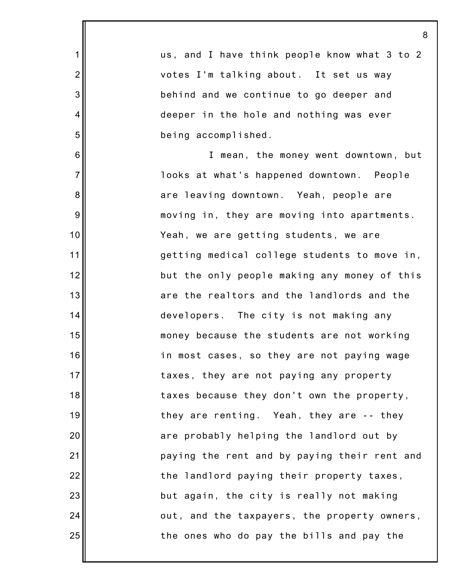|                | 8                                            |
|----------------|----------------------------------------------|
| $\mathbf 1$    | us, and I have think people know what 3 to 2 |
| $\overline{2}$ | votes I'm talking about. It set us way       |
| 3              | behind and we continue to go deeper and      |
| 4              | deeper in the hole and nothing was ever      |
| 5              | being accomplished.                          |
| 6              | I mean, the money went downtown, but         |
| $\overline{7}$ | looks at what's happened downtown. People    |
| 8              | are leaving downtown. Yeah, people are       |
| $9\,$          | moving in, they are moving into apartments.  |
| 10             | Yeah, we are getting students, we are        |
| 11             | getting medical college students to move in, |
| 12             | but the only people making any money of this |
| 13             | are the realtors and the landlords and the   |
| 14             | developers. The city is not making any       |
| 15             | money because the students are not working   |
| 16             | in most cases, so they are not paying wage   |
| 17             | taxes, they are not paying any property      |
| 18             | taxes because they don't own the property,   |
| 19             | they are renting. Yeah, they are -- they     |
| 20             | are probably helping the landlord out by     |
| 21             | paying the rent and by paying their rent and |
| 22             | the landlord paying their property taxes,    |
| 23             | but again, the city is really not making     |
| 24             | out, and the taxpayers, the property owners, |
| 25             | the ones who do pay the bills and pay the    |
|                |                                              |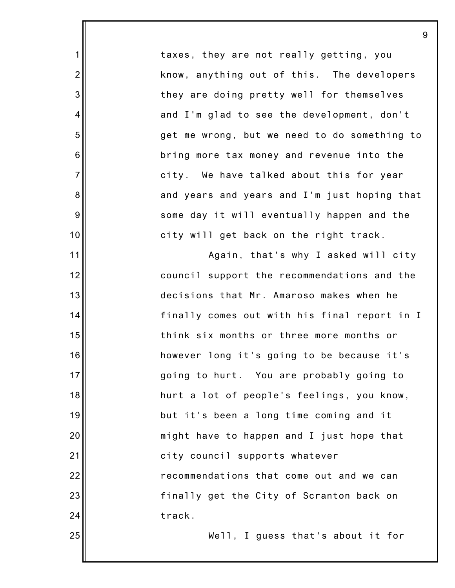taxes, they are not really getting, you know, anything out of this. The developers they are doing pretty well for themselves and I'm glad to see the development, don't get me wrong, but we need to do something to bring more tax money and revenue into the city. We have talked about this for year and years and years and I'm just hoping that some day it will eventually happen and the city will get back on the right track.

1

2

3

4

5

6

7

8

9

10

11

12

13

14

15

16

17

18

19

20

21

22

23

24

25

Again, that's why I asked will city council support the recommendations and the decisions that Mr. Amaroso makes when he finally comes out with his final report in I think six months or three more months or however long it's going to be because it's going to hurt. You are probably going to hurt a lot of people's feelings, you know, but it's been a long time coming and it might have to happen and I just hope that city council supports whatever recommendations that come out and we can finally get the City of Scranton back on track.

Well, I guess that's about it for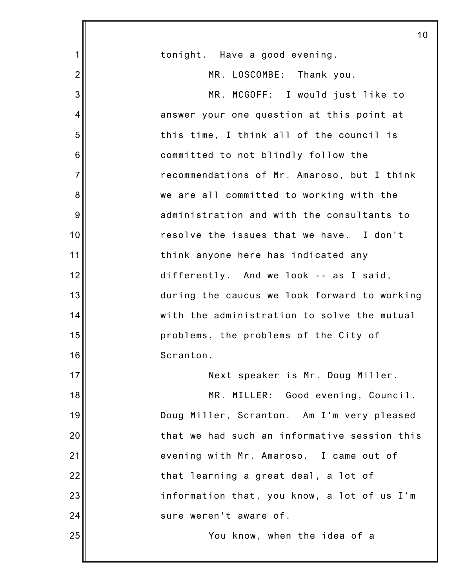|                | 10                                           |
|----------------|----------------------------------------------|
| 1              | tonight. Have a good evening.                |
| $\overline{2}$ | MR. LOSCOMBE: Thank you.                     |
| 3              | MR. MCGOFF: I would just like to             |
| 4              | answer your one question at this point at    |
| 5              | this time, I think all of the council is     |
| 6              | committed to not blindly follow the          |
| $\overline{7}$ | recommendations of Mr. Amaroso, but I think  |
| 8              | we are all committed to working with the     |
| 9              | administration and with the consultants to   |
| 10             | resolve the issues that we have. I don't     |
| 11             | think anyone here has indicated any          |
| 12             | differently. And we look -- as I said,       |
| 13             | during the caucus we look forward to working |
| 14             | with the administration to solve the mutual  |
| 15             | problems, the problems of the City of        |
| 16             | Scranton.                                    |
| 17             | Next speaker is Mr. Doug Miller.             |
| 18             | MR. MILLER: Good evening, Council.           |
| 19             | Doug Miller, Scranton. Am I'm very pleased   |
| 20             | that we had such an informative session this |
| 21             | evening with Mr. Amaroso. I came out of      |
| 22             | that learning a great deal, a lot of         |
| 23             | information that, you know, a lot of us I'm  |
| 24             | sure weren't aware of.                       |
| 25             | You know, when the idea of a                 |
|                |                                              |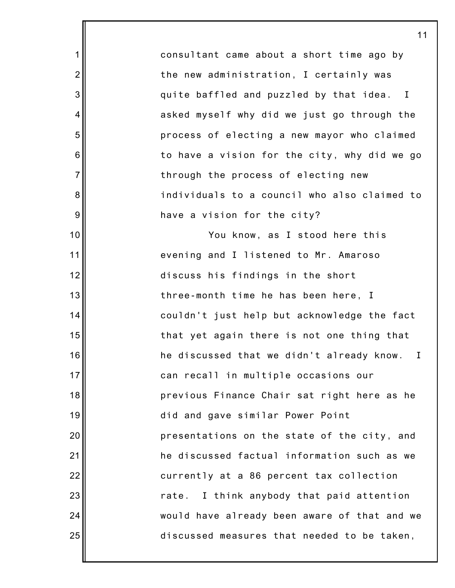consultant came about a short time ago by the new administration, I certainly was quite baffled and puzzled by that idea. I asked myself why did we just go through the process of electing a new mayor who claimed to have a vision for the city, why did we go through the process of electing new individuals to a council who also claimed to have a vision for the city? You know, as I stood here this evening and I listened to Mr. Amaroso discuss his findings in the short three-month time he has been here, I couldn't just help but acknowledge the fact

11

1

2

3

4

5

6

7

8

9

10

11

12

13

14

15

16

17

18

19

20

21

22

23

24

25

that yet again there is not one thing that he discussed that we didn't already know. I can recall in multiple occasions our previous Finance Chair sat right here as he did and gave similar Power Point presentations on the state of the city, and he discussed factual information such as we currently at a 86 percent tax collection rate. I think anybody that paid attention would have already been aware of that and we discussed measures that needed to be taken,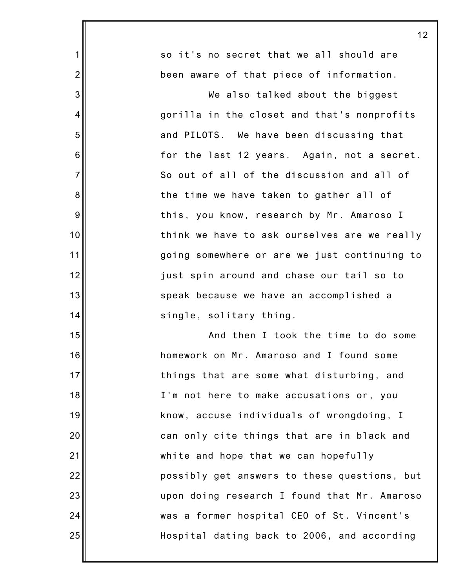|                 | 12                                           |
|-----------------|----------------------------------------------|
| 1               | so it's no secret that we all should are     |
| $\overline{2}$  | been aware of that piece of information.     |
| 3               | We also talked about the biggest             |
| $\overline{4}$  | gorilla in the closet and that's nonprofits  |
| 5               | and PILOTS. We have been discussing that     |
| $6\phantom{1}6$ | for the last 12 years. Again, not a secret.  |
| $\overline{7}$  | So out of all of the discussion and all of   |
| 8               | the time we have taken to gather all of      |
| 9               | this, you know, research by Mr. Amaroso I    |
| 10              | think we have to ask ourselves are we really |
| 11              | going somewhere or are we just continuing to |
| 12              | just spin around and chase our tail so to    |
| 13              | speak because we have an accomplished a      |
| 14              | single, solitary thing.                      |
| 15              | And then I took the time to do some          |
| 16              | homework on Mr. Amaroso and I found some     |
| 17              | things that are some what disturbing, and    |
| 18              | I'm not here to make accusations or, you     |
| 19              | know, accuse individuals of wrongdoing, I    |
| 20              | can only cite things that are in black and   |
| 21              | white and hope that we can hopefully         |
| 22              | possibly get answers to these questions, but |
| 23              | upon doing research I found that Mr. Amaroso |
| 24              | was a former hospital CEO of St. Vincent's   |
| 25              | Hospital dating back to 2006, and according  |
|                 |                                              |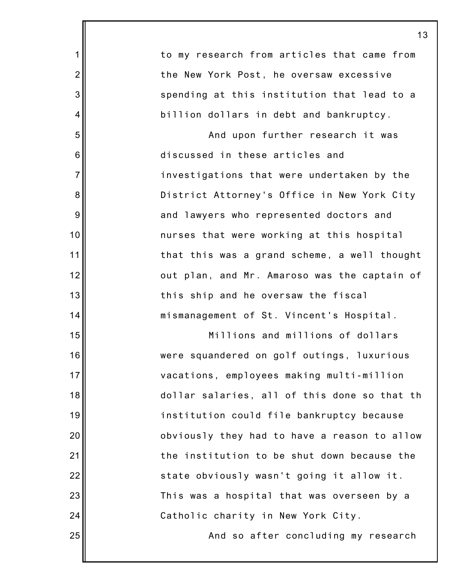|                 | 1                                            |
|-----------------|----------------------------------------------|
| 1               | to my research from articles that came from  |
| $\overline{2}$  | the New York Post, he oversaw excessive      |
| 3               | spending at this institution that lead to a  |
| 4               | billion dollars in debt and bankruptcy.      |
| 5               | And upon further research it was             |
| 6               | discussed in these articles and              |
| $\overline{7}$  | investigations that were undertaken by the   |
| $\bf 8$         | District Attorney's Office in New York City  |
| 9               | and lawyers who represented doctors and      |
| 10              | nurses that were working at this hospital    |
| 11              | that this was a grand scheme, a well thought |
| 12              | out plan, and Mr. Amaroso was the captain of |
| 13              | this ship and he oversaw the fiscal          |
| 14              | mismanagement of St. Vincent's Hospital.     |
| 15              | Millions and millions of dollars             |
| 16 <sup>1</sup> | were squandered on golf outings, luxurious   |
| 17              | vacations, employees making multi-million    |
| 18              | dollar salaries, all of this done so that th |
| 19              | institution could file bankruptcy because    |
| 20              | obviously they had to have a reason to allow |
| 21              | the institution to be shut down because the  |
| 22              | state obviously wasn't going it allow it.    |
| 23              | This was a hospital that was overseen by a   |
| 24              | Catholic charity in New York City.           |
| 25              | And so after concluding my research          |
|                 |                                              |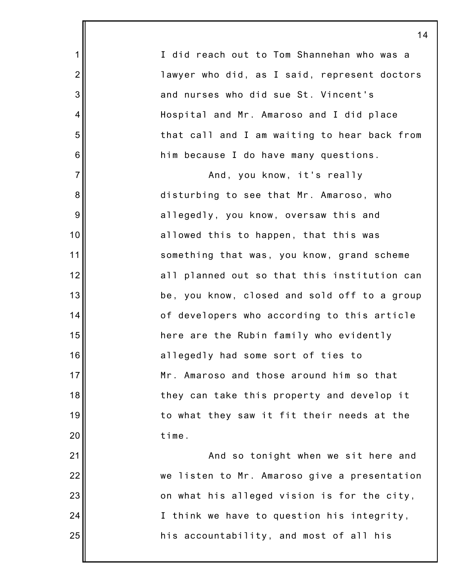|                  | 1.                                           |
|------------------|----------------------------------------------|
| $\mathbf 1$      | I did reach out to Tom Shannehan who was a   |
| $\overline{2}$   | lawyer who did, as I said, represent doctors |
| $\mathbf{3}$     | and nurses who did sue St. Vincent's         |
| 4                | Hospital and Mr. Amaroso and I did place     |
| $\mathbf 5$      | that call and I am waiting to hear back from |
| $\,6$            | him because I do have many questions.        |
| $\overline{7}$   | And, you know, it's really                   |
| $\bf 8$          | disturbing to see that Mr. Amaroso, who      |
| $\boldsymbol{9}$ | allegedly, you know, oversaw this and        |
| 10               | allowed this to happen, that this was        |
| 11               | something that was, you know, grand scheme   |
| 12               | all planned out so that this institution can |
| 13               | be, you know, closed and sold off to a group |
| 14               | of developers who according to this article  |
| 15               | here are the Rubin family who evidently      |
| 16               | allegedly had some sort of ties to           |
| 17               | Mr. Amaroso and those around him so that     |
| 18               | they can take this property and develop it   |
| 19               | to what they saw it fit their needs at the   |
| 20               | time.                                        |
| 21               | And so tonight when we sit here and          |
| 22               | we listen to Mr. Amaroso give a presentation |
| 23               | on what his alleged vision is for the city,  |
| 24               | I think we have to question his integrity,   |
| 25               | his accountability, and most of all his      |

I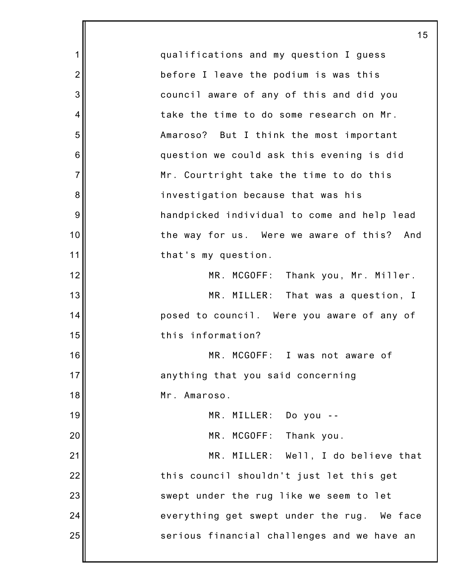1 2 3 4 5 6 7 8 9 10 11 12 13 14 15 16 17 18 19 20 21 22 23 24 25 15 qualifications and my question I guess before I leave the podium is was this council aware of any of this and did you take the time to do some research on Mr. Amaroso? But I think the most important question we could ask this evening is did Mr. Courtright take the time to do this investigation because that was his handpicked individual to come and help lead the way for us. Were we aware of this? And that's my question. MR. MCGOFF: Thank you, Mr. Miller. MR. MILLER: That was a question, I posed to council. Were you aware of any of this information? MR. MCGOFF: I was not aware of anything that you said concerning Mr. Amaroso. MR. MILLER: Do you -- MR. MCGOFF: Thank you. MR. MILLER: Well, I do believe that this council shouldn't just let this get swept under the rug like we seem to let everything get swept under the rug. We face serious financial challenges and we have an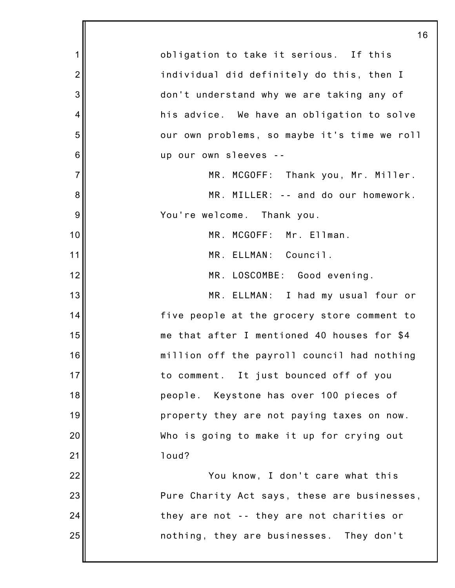|                 | 16                                           |
|-----------------|----------------------------------------------|
| $\mathbf 1$     | obligation to take it serious. If this       |
| $\overline{2}$  | individual did definitely do this, then I    |
| 3               | don't understand why we are taking any of    |
| 4               | his advice. We have an obligation to solve   |
| 5               | our own problems, so maybe it's time we roll |
| $6\phantom{1}6$ | up our own sleeves --                        |
| $\overline{7}$  | MR. MCGOFF: Thank you, Mr. Miller.           |
| 8               | MR. MILLER: -- and do our homework.          |
| 9               | You're welcome. Thank you.                   |
| 10              | MR. MCGOFF: Mr. Ellman.                      |
| 11              | MR. ELLMAN: Council.                         |
| 12              | MR. LOSCOMBE: Good evening.                  |
| 13              | MR. ELLMAN: I had my usual four or           |
| 14              | five people at the grocery store comment to  |
| 15              | me that after I mentioned 40 houses for \$4  |
| 16              | million off the payroll council had nothing  |
| 17              | to comment. It just bounced off of you       |
| 18              | people. Keystone has over 100 pieces of      |
| 19              | property they are not paying taxes on now.   |
| 20              | Who is going to make it up for crying out    |
| 21              | loud?                                        |
| 22              | You know, I don't care what this             |
| 23              | Pure Charity Act says, these are businesses, |
| 24              | they are not -- they are not charities or    |
| 25              | nothing, they are businesses. They don't     |
|                 |                                              |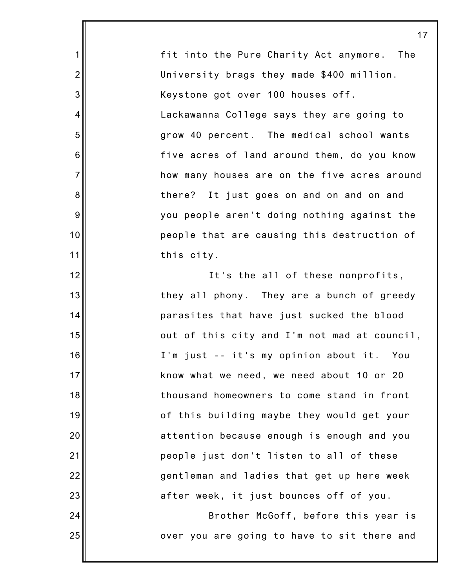fit into the Pure Charity Act anymore. The University brags they made \$400 million. Keystone got over 100 houses off. Lackawanna College says they are going to grow 40 percent. The medical school wants five acres of land around them, do you know how many houses are on the five acres around there? It just goes on and on and on and you people aren't doing nothing against the people that are causing this destruction of this city.

1

2

3

4

5

6

7

8

9

10

11

12

13

14

15

16

17

18

19

20

21

22

23

24

25

It's the all of these nonprofits, they all phony. They are a bunch of greedy parasites that have just sucked the blood out of this city and I'm not mad at council, I'm just -- it's my opinion about it. You know what we need, we need about 10 or 20 thousand homeowners to come stand in front of this building maybe they would get your attention because enough is enough and you people just don't listen to all of these gentleman and ladies that get up here week after week, it just bounces off of you.

Brother McGoff, before this year is over you are going to have to sit there and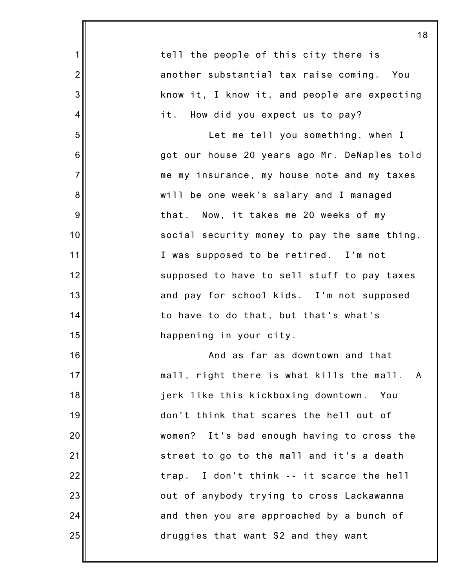|                | 18                                             |
|----------------|------------------------------------------------|
| $\mathbf 1$    | tell the people of this city there is          |
| $\overline{2}$ | another substantial tax raise coming. You      |
| 3              | know it, I know it, and people are expecting   |
| 4              | it. How did you expect us to pay?              |
| 5              | Let me tell you something, when I              |
| 6              | got our house 20 years ago Mr. DeNaples told   |
| $\overline{7}$ | me my insurance, my house note and my taxes    |
| 8              | will be one week's salary and I managed        |
| 9              | that. Now, it takes me 20 weeks of my          |
| 10             | social security money to pay the same thing.   |
| 11             | I was supposed to be retired. I'm not          |
| 12             | supposed to have to sell stuff to pay taxes    |
| 13             | and pay for school kids. I'm not supposed      |
| 14             | to have to do that, but that's what's          |
| 15             | happening in your city.                        |
| 16             | And as far as downtown and that                |
| 17             | mall, right there is what kills the mall.<br>A |
| 18             | jerk like this kickboxing downtown. You        |
| 19             | don't think that scares the hell out of        |
| 20             | women? It's bad enough having to cross the     |
| 21             | street to go to the mall and it's a death      |
| 22             | I don't think -- it scarce the hell<br>trap.   |
| 23             | out of anybody trying to cross Lackawanna      |
| 24             | and then you are approached by a bunch of      |
| 25             | druggies that want \$2 and they want           |
|                |                                                |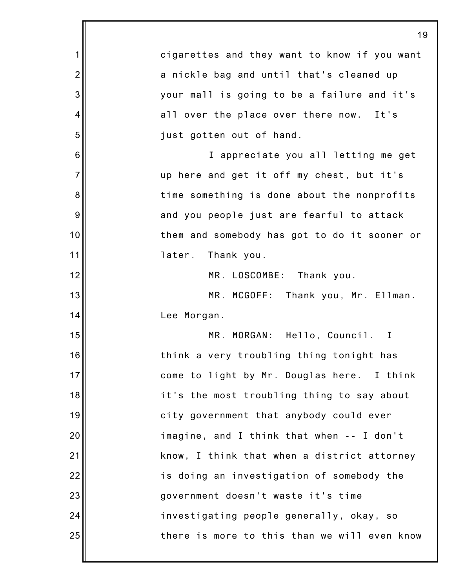|                | 19                                           |
|----------------|----------------------------------------------|
| 1              | cigarettes and they want to know if you want |
| $\overline{2}$ | a nickle bag and until that's cleaned up     |
| 3              | your mall is going to be a failure and it's  |
| 4              | all over the place over there now. It's      |
| 5              | just gotten out of hand.                     |
| 6              | I appreciate you all letting me get          |
| $\overline{7}$ | up here and get it off my chest, but it's    |
| 8              | time something is done about the nonprofits  |
| 9              | and you people just are fearful to attack    |
| 10             | them and somebody has got to do it sooner or |
| 11             | later. Thank you.                            |
| 12             | MR. LOSCOMBE:<br>Thank you.                  |
| 13             | MR. MCGOFF: Thank you, Mr. Ellman.           |
| 14             | Lee Morgan.                                  |
| 15             | MR. MORGAN: Hello, Council. I                |
| 16             | think a very troubling thing tonight has     |
| 17             | come to light by Mr. Douglas here. I think   |
| 18             | it's the most troubling thing to say about   |
| 19             | city government that anybody could ever      |
| 20             | imagine, and I think that when -- I don't    |
| 21             | know, I think that when a district attorney  |
| 22             | is doing an investigation of somebody the    |
| 23             | government doesn't waste it's time           |
| 24             | investigating people generally, okay, so     |
| 25             | there is more to this than we will even know |
|                |                                              |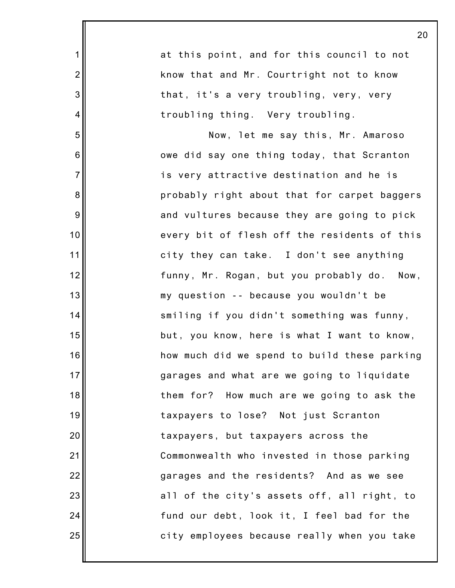|                 | 20                                           |
|-----------------|----------------------------------------------|
| $\mathbf 1$     | at this point, and for this council to not   |
| $\overline{2}$  | know that and Mr. Courtright not to know     |
| 3               | that, it's a very troubling, very, very      |
| 4               | troubling thing. Very troubling.             |
| 5               | Now, let me say this, Mr. Amaroso            |
| $6\phantom{1}6$ | owe did say one thing today, that Scranton   |
| $\overline{7}$  | is very attractive destination and he is     |
| $\bf 8$         | probably right about that for carpet baggers |
| $9\,$           | and vultures because they are going to pick  |
| 10              | every bit of flesh off the residents of this |
| 11              | city they can take. I don't see anything     |
| 12              | funny, Mr. Rogan, but you probably do. Now,  |
| 13              | my question -- because you wouldn't be       |
| 14              | smiling if you didn't something was funny,   |
| 15              | but, you know, here is what I want to know,  |
| 16              | how much did we spend to build these parking |
| 17              | garages and what are we going to liquidate   |
| 18              | them for? How much are we going to ask the   |
| 19              | taxpayers to lose? Not just Scranton         |
| 20              | taxpayers, but taxpayers across the          |
| 21              | Commonwealth who invested in those parking   |
| 22              | garages and the residents? And as we see     |
| 23              | all of the city's assets off, all right, to  |
| 24              | fund our debt, look it, I feel bad for the   |
| 25              | city employees because really when you take  |
|                 |                                              |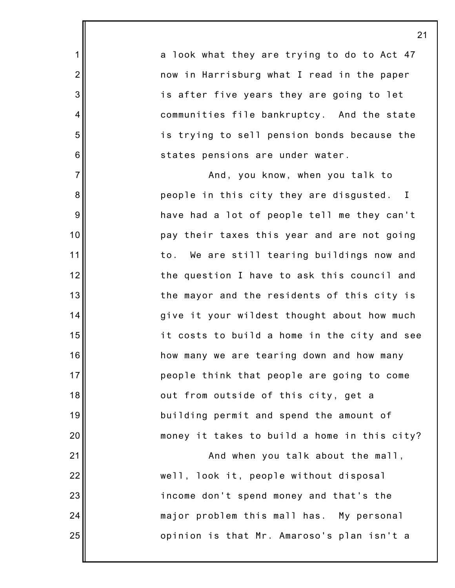a look what they are trying to do to Act 47 now in Harrisburg what I read in the paper is after five years they are going to let communities file bankruptcy. And the state is trying to sell pension bonds because the states pensions are under water.

1

2

3

4

5

6

7

8

9

10

11

12

13

14

15

16

17

18

19

20

21

22

23

24

25

And, you know, when you talk to people in this city they are disgusted. I have had a lot of people tell me they can't pay their taxes this year and are not going to. We are still tearing buildings now and the question I have to ask this council and the mayor and the residents of this city is give it your wildest thought about how much it costs to build a home in the city and see how many we are tearing down and how many people think that people are going to come out from outside of this city, get a building permit and spend the amount of money it takes to build a home in this city?

And when you talk about the mall, well, look it, people without disposal income don't spend money and that's the major problem this mall has. My personal opinion is that Mr. Amaroso's plan isn't a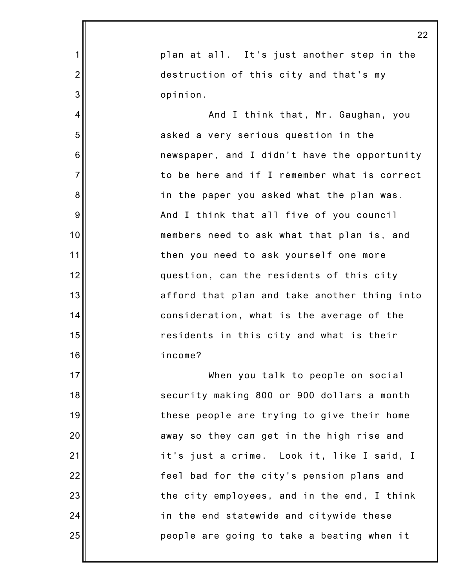|                | 22                                           |
|----------------|----------------------------------------------|
| $\mathbf 1$    | plan at all. It's just another step in the   |
| $\overline{2}$ | destruction of this city and that's my       |
| 3              | opinion.                                     |
| $\overline{4}$ | And I think that, Mr. Gaughan, you           |
| 5              | asked a very serious question in the         |
| 6              | newspaper, and I didn't have the opportunity |
| $\overline{7}$ | to be here and if I remember what is correct |
| 8              | in the paper you asked what the plan was.    |
| 9              | And I think that all five of you council     |
| 10             | members need to ask what that plan is, and   |
| 11             | then you need to ask yourself one more       |
| 12             | question, can the residents of this city     |
| 13             | afford that plan and take another thing into |
| 14             | consideration, what is the average of the    |
| 15             | residents in this city and what is their     |
| 16             | income?                                      |
| 17             | When you talk to people on social            |
| 18             | security making 800 or 900 dollars a month   |
| 19             | these people are trying to give their home   |
| 20             | away so they can get in the high rise and    |
| 21             | it's just a crime. Look it, like I said, I   |
| 22             | feel bad for the city's pension plans and    |
| 23             | the city employees, and in the end, I think  |
| 24             | in the end statewide and citywide these      |
| 25             | people are going to take a beating when it   |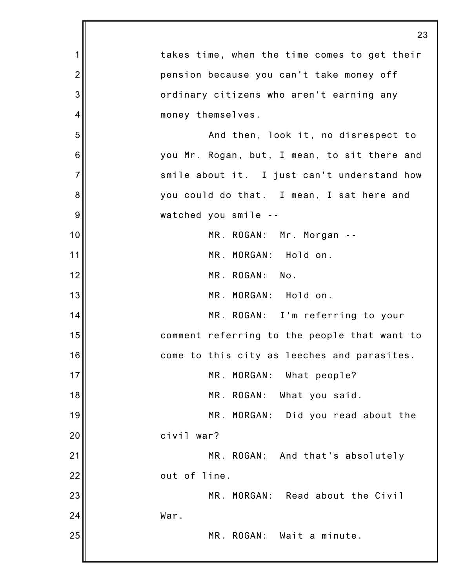|                | 23                                           |
|----------------|----------------------------------------------|
| 1              | takes time, when the time comes to get their |
| $\overline{2}$ | pension because you can't take money off     |
| 3              | ordinary citizens who aren't earning any     |
| 4              | money themselves.                            |
| 5              | And then, look it, no disrespect to          |
| 6              | you Mr. Rogan, but, I mean, to sit there and |
| $\overline{7}$ | smile about it. I just can't understand how  |
| 8              | you could do that. I mean, I sat here and    |
| 9              | watched you smile --                         |
| 10             | MR. ROGAN: Mr. Morgan --                     |
| 11             | MR. MORGAN: Hold on.                         |
| 12             | MR. ROGAN: No.                               |
| 13             | MR. MORGAN: Hold on.                         |
| 14             | MR. ROGAN: I'm referring to your             |
| 15             | comment referring to the people that want to |
| 16             | come to this city as leeches and parasites.  |
| 17             | MR. MORGAN:<br>What people?                  |
| 18             | MR. ROGAN: What you said.                    |
| 19             | MR. MORGAN: Did you read about the           |
| 20             | civil war?                                   |
| 21             | MR. ROGAN: And that's absolutely             |
| 22             | out of line.                                 |
| 23             | MR. MORGAN: Read about the Civil             |
| 24             | War.                                         |
| 25             | MR. ROGAN: Wait a minute.                    |
|                |                                              |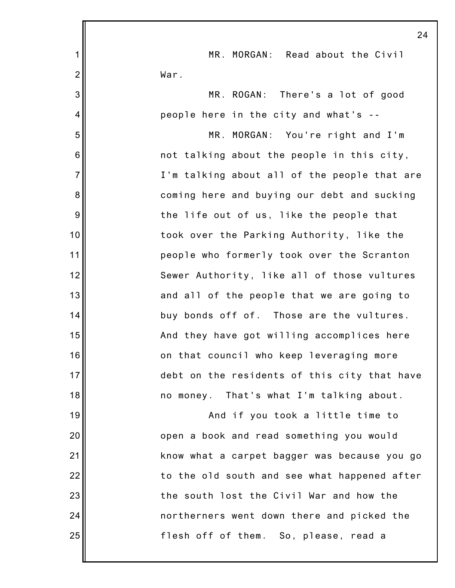|                | 24                                           |
|----------------|----------------------------------------------|
| 1              | MR. MORGAN: Read about the Civil             |
| $\overline{2}$ | War.                                         |
| 3              | MR. ROGAN: There's a lot of good             |
| 4              | people here in the city and what's --        |
| 5              | MR. MORGAN: You're right and I'm             |
| 6              | not talking about the people in this city,   |
| $\overline{7}$ | I'm talking about all of the people that are |
| 8              | coming here and buying our debt and sucking  |
| 9              | the life out of us, like the people that     |
| 10             | took over the Parking Authority, like the    |
| 11             | people who formerly took over the Scranton   |
| 12             | Sewer Authority, like all of those vultures  |
| 13             | and all of the people that we are going to   |
| 14             | buy bonds off of. Those are the vultures.    |
| 15             | And they have got willing accomplices here   |
| 16             | on that council who keep leveraging more     |
| 17             | debt on the residents of this city that have |
| 18             | no money. That's what I'm talking about.     |
| 19             | And if you took a little time to             |
| 20             | open a book and read something you would     |
| 21             | know what a carpet bagger was because you go |
| 22             | to the old south and see what happened after |
| 23             | the south lost the Civil War and how the     |
| 24             | northerners went down there and picked the   |
| 25             | flesh off of them. So, please, read a        |
|                |                                              |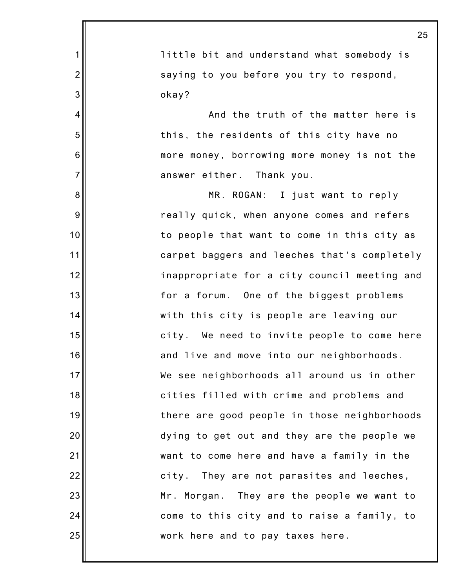|                | 25                                           |
|----------------|----------------------------------------------|
| 1              | little bit and understand what somebody is   |
| $\overline{2}$ | saying to you before you try to respond,     |
| 3              | okay?                                        |
| 4              | And the truth of the matter here is          |
| 5              | this, the residents of this city have no     |
| $6\,$          | more money, borrowing more money is not the  |
| $\overline{7}$ | answer either. Thank you.                    |
| 8              | MR. ROGAN: I just want to reply              |
| 9              | really quick, when anyone comes and refers   |
| 10             | to people that want to come in this city as  |
| 11             | carpet baggers and leeches that's completely |
| 12             | inappropriate for a city council meeting and |
| 13             | for a forum. One of the biggest problems     |
| 14             | with this city is people are leaving our     |
| 15             | city. We need to invite people to come here  |
| 16             | and live and move into our neighborhoods.    |
| 17             | We see neighborhoods all around us in other  |
| 18             | cities filled with crime and problems and    |
| 19             | there are good people in those neighborhoods |
| 20             | dying to get out and they are the people we  |
| 21             | want to come here and have a family in the   |
| 22             | They are not parasites and leeches,<br>city. |
| 23             | Mr. Morgan. They are the people we want to   |
| 24             | come to this city and to raise a family, to  |
| 25             | work here and to pay taxes here.             |
|                |                                              |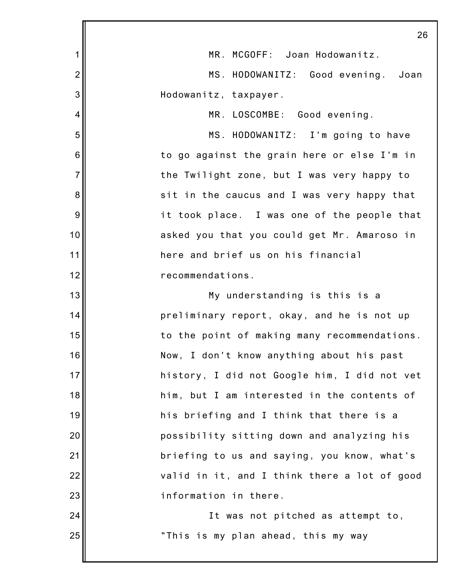|                | 26                                           |
|----------------|----------------------------------------------|
| 1              | MR. MCGOFF: Joan Hodowanitz.                 |
| $\overline{c}$ | MS. HODOWANITZ: Good evening. Joan           |
| 3              | Hodowanitz, taxpayer.                        |
| 4              | MR. LOSCOMBE: Good evening.                  |
| 5              | MS. HODOWANITZ: I'm going to have            |
| 6              | to go against the grain here or else I'm in  |
| $\overline{7}$ | the Twilight zone, but I was very happy to   |
| 8              | sit in the caucus and I was very happy that  |
| 9              | it took place. I was one of the people that  |
| 10             | asked you that you could get Mr. Amaroso in  |
| 11             | here and brief us on his financial           |
| 12             | recommendations.                             |
| 13             | My understanding is this is a                |
| 14             | preliminary report, okay, and he is not up   |
| 15             | to the point of making many recommendations. |
| 16             | Now, I don't know anything about his past    |
| 17             | history, I did not Google him, I did not vet |
| 18             | him, but I am interested in the contents of  |
| 19             | his briefing and I think that there is a     |
| 20             | possibility sitting down and analyzing his   |
| 21             | briefing to us and saying, you know, what's  |
| 22             | valid in it, and I think there a lot of good |
| 23             | information in there.                        |
| 24             | It was not pitched as attempt to,            |
| 25             | "This is my plan ahead, this my way          |
|                |                                              |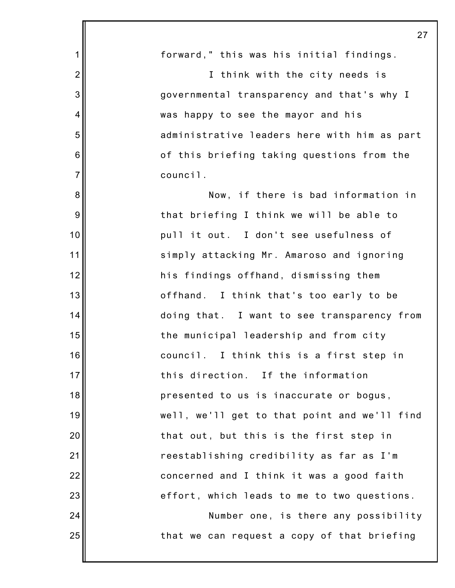|                | 27                                           |
|----------------|----------------------------------------------|
| 1              | forward," this was his initial findings.     |
| $\overline{2}$ | I think with the city needs is               |
| 3              | governmental transparency and that's why I   |
| $\overline{4}$ | was happy to see the mayor and his           |
| 5              | administrative leaders here with him as part |
| 6              | of this briefing taking questions from the   |
| $\overline{7}$ | council.                                     |
| 8              | Now, if there is bad information in          |
| 9              | that briefing I think we will be able to     |
| 10             | pull it out. I don't see usefulness of       |
| 11             | simply attacking Mr. Amaroso and ignoring    |
| 12             | his findings offhand, dismissing them        |
| 13             | offhand. I think that's too early to be      |
| 14             | doing that. I want to see transparency from  |
| 15             | the municipal leadership and from city       |
| 16             | council. I think this is a first step in     |
| 17             | this direction. If the information           |
| 18             | presented to us is inaccurate or bogus,      |
| 19             | well, we'll get to that point and we'll find |
| 20             | that out, but this is the first step in      |
| 21             | reestablishing credibility as far as I'm     |
| 22             | concerned and I think it was a good faith    |
| 23             | effort, which leads to me to two questions.  |
| 24             | Number one, is there any possibility         |
| 25             | that we can request a copy of that briefing  |
|                |                                              |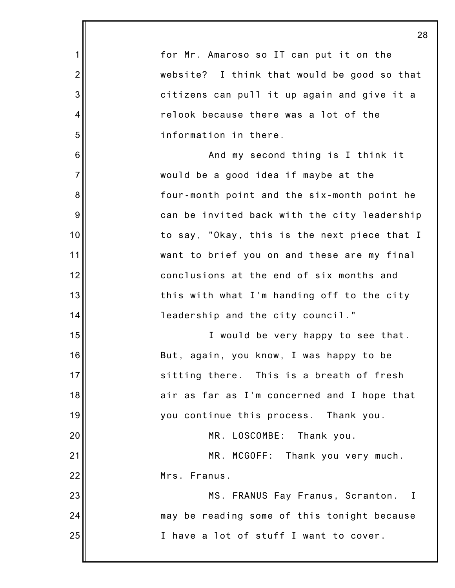|                 | 2                                            |
|-----------------|----------------------------------------------|
| 1               | for Mr. Amaroso so IT can put it on the      |
| $\overline{2}$  | website? I think that would be good so that  |
| 3               | citizens can pull it up again and give it a  |
| 4               | relook because there was a lot of the        |
| 5               | information in there.                        |
| $6\phantom{1}6$ | And my second thing is I think it            |
| $\overline{7}$  | would be a good idea if maybe at the         |
| 8               | four-month point and the six-month point he  |
| 9               | can be invited back with the city leadership |
| 10              | to say, "Okay, this is the next piece that I |
| 11              | want to brief you on and these are my final  |
| 12              | conclusions at the end of six months and     |
| 13              | this with what I'm handing off to the city   |
| 14              | leadership and the city council."            |
| 15              | I would be very happy to see that.           |
| 16              | But, again, you know, I was happy to be      |
| 17              | sitting there. This is a breath of fresh     |
| 18              | air as far as I'm concerned and I hope that  |
| 19              | you continue this process. Thank you.        |
| 20              | MR. LOSCOMBE:<br>Thank you.                  |
| 21              | MR. MCGOFF: Thank you very much.             |
| 22              | Mrs. Franus.                                 |
| 23              | MS. FRANUS Fay Franus, Scranton. I           |
| 24              | may be reading some of this tonight because  |
| 25              | I have a lot of stuff I want to cover.       |
|                 |                                              |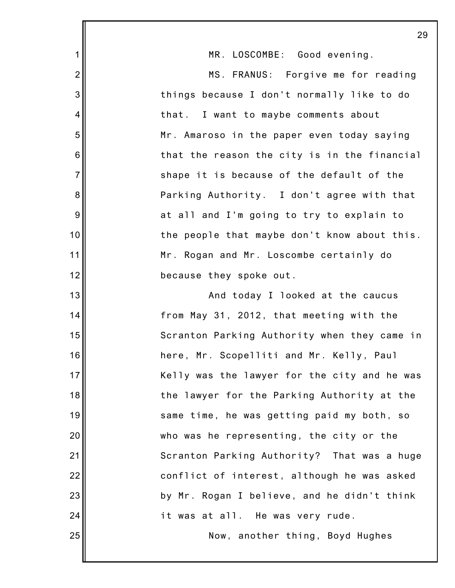|                 | 29                                           |
|-----------------|----------------------------------------------|
| 1               | MR. LOSCOMBE: Good evening.                  |
| $\overline{c}$  | MS. FRANUS: Forgive me for reading           |
| 3               | things because I don't normally like to do   |
| 4               | that. I want to maybe comments about         |
| 5               | Mr. Amaroso in the paper even today saying   |
| $6\phantom{1}6$ | that the reason the city is in the financial |
| $\overline{7}$  | shape it is because of the default of the    |
| $\bf 8$         | Parking Authority. I don't agree with that   |
| $9\,$           | at all and I'm going to try to explain to    |
| 10              | the people that maybe don't know about this. |
| 11              | Mr. Rogan and Mr. Loscombe certainly do      |
| 12              | because they spoke out.                      |
| 13              | And today I looked at the caucus             |
| 14              | from May 31, 2012, that meeting with the     |
| 15              | Scranton Parking Authority when they came in |
| 16              | here, Mr. Scopelliti and Mr. Kelly, Paul     |
| 17              | Kelly was the lawyer for the city and he was |
| 18              | the lawyer for the Parking Authority at the  |
| 19              | same time, he was getting paid my both, so   |
| 20              | who was he representing, the city or the     |
| 21              | Scranton Parking Authority? That was a huge  |
| 22              | conflict of interest, although he was asked  |
| 23              | by Mr. Rogan I believe, and he didn't think  |
| 24              | it was at all. He was very rude.             |
| 25              | Now, another thing, Boyd Hughes              |
|                 |                                              |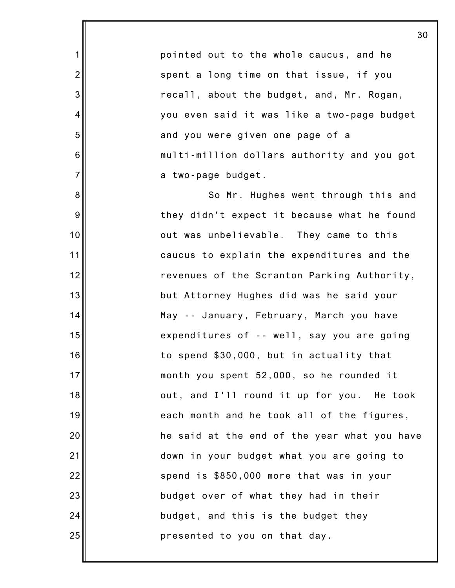pointed out to the whole caucus, and he spent a long time on that issue, if you recall, about the budget, and, Mr. Rogan, you even said it was like a two-page budget and you were given one page of a multi-million dollars authority and you got a two-page budget.

1

2

3

4

5

6

7

8

9

10

11

12

13

14

15

16

17

18

19

20

21

22

23

24

25

So Mr. Hughes went through this and they didn't expect it because what he found out was unbelievable. They came to this caucus to explain the expenditures and the revenues of the Scranton Parking Authority, but Attorney Hughes did was he said your May -- January, February, March you have expenditures of -- well, say you are going to spend \$30,000, but in actuality that month you spent 52,000, so he rounded it out, and I'll round it up for you. He took each month and he took all of the figures, he said at the end of the year what you have down in your budget what you are going to spend is \$850,000 more that was in your budget over of what they had in their budget, and this is the budget they presented to you on that day.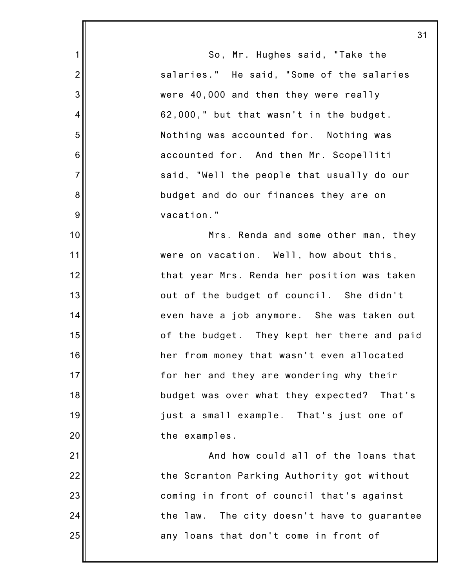1 2 3 4 5 6 7 8 9 10 11 12 13 14 15 16 17 18 19 20 21 22 23 24 25 So, Mr. Hughes said, "Take the salaries." He said, "Some of the salaries were 40,000 and then they were really 62,000," but that wasn't in the budget. Nothing was accounted for. Nothing was accounted for. And then Mr. Scopelliti said, "Well the people that usually do our budget and do our finances they are on vacation." Mrs. Renda and some other man, they were on vacation. Well, how about this, that year Mrs. Renda her position was taken out of the budget of council. She didn't even have a job anymore. She was taken out of the budget. They kept her there and paid her from money that wasn't even allocated for her and they are wondering why their budget was over what they expected? That's just a small example. That's just one of the examples. And how could all of the loans that the Scranton Parking Authority got without coming in front of council that's against the law. The city doesn't have to guarantee any loans that don't come in front of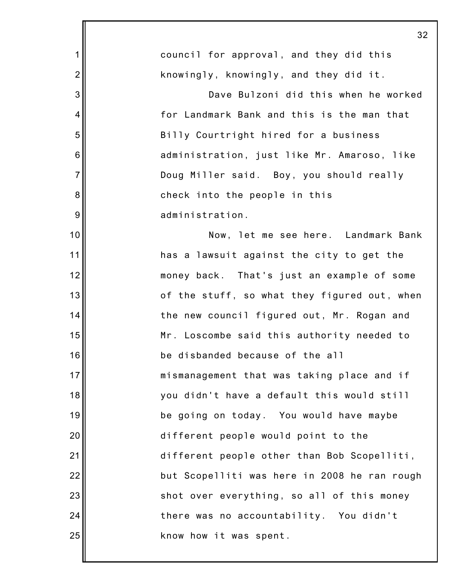|                | 32                                           |
|----------------|----------------------------------------------|
| $\mathbf 1$    | council for approval, and they did this      |
| $\overline{2}$ | knowingly, knowingly, and they did it.       |
| 3              | Dave Bulzoni did this when he worked         |
| 4              | for Landmark Bank and this is the man that   |
| 5              | Billy Courtright hired for a business        |
| 6              | administration, just like Mr. Amaroso, like  |
| $\overline{7}$ | Doug Miller said. Boy, you should really     |
| 8              | check into the people in this                |
| 9              | administration.                              |
| 10             | Now, let me see here. Landmark Bank          |
| 11             | has a lawsuit against the city to get the    |
| 12             | money back. That's just an example of some   |
| 13             | of the stuff, so what they figured out, when |
| 14             | the new council figured out, Mr. Rogan and   |
| 15             | Mr. Loscombe said this authority needed to   |
| 16             | be disbanded because of the all              |
| 17             | mismanagement that was taking place and if   |
| 18             | you didn't have a default this would still   |
| 19             | be going on today. You would have maybe      |
| 20             | different people would point to the          |
| 21             | different people other than Bob Scopelliti,  |
| 22             | but Scopelliti was here in 2008 he ran rough |
| 23             | shot over everything, so all of this money   |
| 24             | there was no accountability. You didn't      |
| 25             | know how it was spent.                       |
|                |                                              |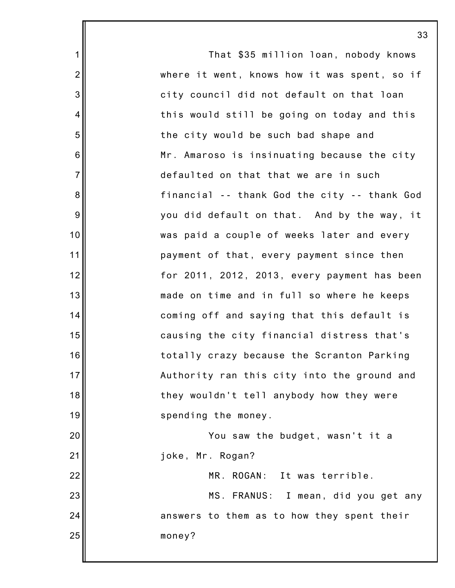|                  | 33                                           |
|------------------|----------------------------------------------|
| $\mathbf 1$      | That \$35 million loan, nobody knows         |
| $\overline{2}$   | where it went, knows how it was spent, so if |
| 3                | city council did not default on that loan    |
| 4                | this would still be going on today and this  |
| 5                | the city would be such bad shape and         |
| $6\phantom{1}6$  | Mr. Amaroso is insinuating because the city  |
| $\overline{7}$   | defaulted on that that we are in such        |
| $\bf 8$          | financial -- thank God the city -- thank God |
| $\boldsymbol{9}$ | you did default on that. And by the way, it  |
| 10               | was paid a couple of weeks later and every   |
| 11               | payment of that, every payment since then    |
| 12               | for 2011, 2012, 2013, every payment has been |
| 13               | made on time and in full so where he keeps   |
| 14               | coming off and saying that this default is   |
| 15               | causing the city financial distress that's   |
| 16               | totally crazy because the Scranton Parking   |
| 17               | Authority ran this city into the ground and  |
| 18               | they wouldn't tell anybody how they were     |
| 19               | spending the money.                          |
| 20               | You saw the budget, wasn't it a              |
| 21               | joke, Mr. Rogan?                             |
| 22               | MR. ROGAN: It was terrible.                  |
| 23               | MS. FRANUS: I mean, did you get any          |
| 24               | answers to them as to how they spent their   |
| 25               | money?                                       |
|                  |                                              |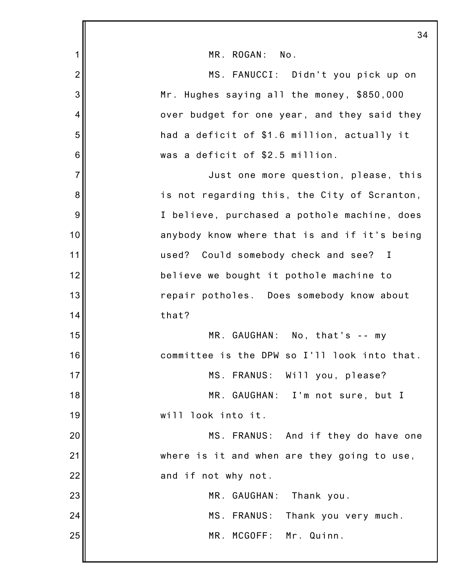|                | 34                                           |
|----------------|----------------------------------------------|
| 1              | MR. ROGAN:<br>No.                            |
| $\overline{2}$ | MS. FANUCCI: Didn't you pick up on           |
| 3              | Mr. Hughes saying all the money, \$850,000   |
| 4              | over budget for one year, and they said they |
| 5              | had a deficit of \$1.6 million, actually it  |
| 6              | was a deficit of \$2.5 million.              |
| $\overline{7}$ | Just one more question, please, this         |
| 8              | is not regarding this, the City of Scranton, |
| 9              | I believe, purchased a pothole machine, does |
| 10             | anybody know where that is and if it's being |
| 11             | used? Could somebody check and see? I        |
| 12             | believe we bought it pothole machine to      |
| 13             | repair potholes. Does somebody know about    |
| 14             | that?                                        |
| 15             | MR. GAUGHAN: No, that's -- my                |
| 16             | committee is the DPW so I'll look into that. |
| 17             | MS. FRANUS: Will you, please?                |
| 18             | MR. GAUGHAN: I'm not sure, but I             |
| 19             | will look into it.                           |
| 20             | MS. FRANUS: And if they do have one          |
| 21             | where is it and when are they going to use,  |
| 22             | and if not why not.                          |
| 23             | MR. GAUGHAN: Thank you.                      |
| 24             | MS. FRANUS: Thank you very much.             |
| 25             | MR. MCGOFF: Mr. Quinn.                       |
|                |                                              |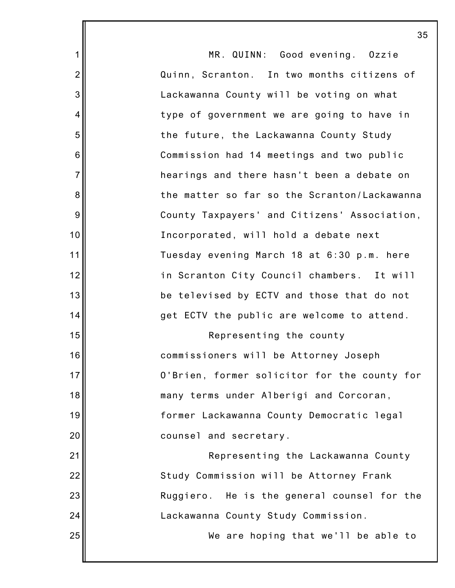|                | 35                                           |
|----------------|----------------------------------------------|
| 1              | MR. QUINN: Good evening. Ozzie               |
| $\overline{2}$ | Quinn, Scranton. In two months citizens of   |
| 3              | Lackawanna County will be voting on what     |
| 4              | type of government we are going to have in   |
| 5              | the future, the Lackawanna County Study      |
| 6              | Commission had 14 meetings and two public    |
| $\overline{7}$ | hearings and there hasn't been a debate on   |
| 8              | the matter so far so the Scranton/Lackawanna |
| $9\,$          | County Taxpayers' and Citizens' Association, |
| 10             | Incorporated, will hold a debate next        |
| 11             | Tuesday evening March 18 at 6:30 p.m. here   |
| 12             | in Scranton City Council chambers. It will   |
| 13             | be televised by ECTV and those that do not   |
| 14             | get ECTV the public are welcome to attend.   |
| 15             | Representing the county                      |
| 16             | commissioners will be Attorney Joseph        |
| 17             | O'Brien, former solicitor for the county for |
| 18             | many terms under Alberigi and Corcoran,      |
| 19             | former Lackawanna County Democratic legal    |
| 20             | counsel and secretary.                       |
| 21             | Representing the Lackawanna County           |
| 22             | Study Commission will be Attorney Frank      |
| 23             | Ruggiero. He is the general counsel for the  |
| 24             | Lackawanna County Study Commission.          |
| 25             | We are hoping that we'll be able to          |
|                |                                              |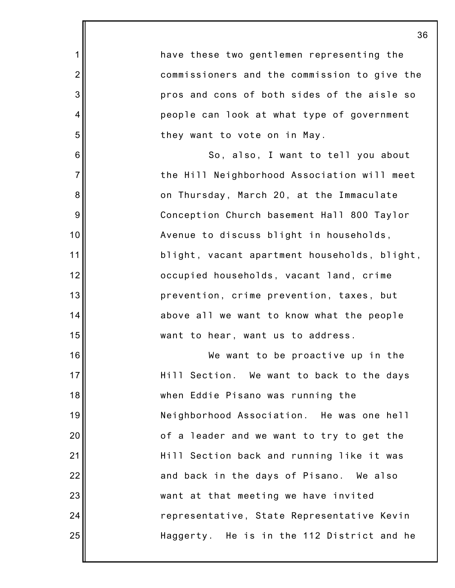have these two gentlemen representing the commissioners and the commission to give the pros and cons of both sides of the aisle so people can look at what type of government they want to vote on in May. So, also, I want to tell you about the Hill Neighborhood Association will meet on Thursday, March 20, at the Immaculate Conception Church basement Hall 800 Taylor Avenue to discuss blight in households, blight, vacant apartment households, blight, occupied households, vacant land, crime prevention, crime prevention, taxes, but above all we want to know what the people want to hear, want us to address. We want to be proactive up in the Hill Section. We want to back to the days

1

2

3

4

5

6

7

8

9

10

11

12

13

14

15

16

17

18

19

20

21

22

23

24

25

when Eddie Pisano was running the Neighborhood Association. He was one hell of a leader and we want to try to get the Hill Section back and running like it was and back in the days of Pisano. We also want at that meeting we have invited representative, State Representative Kevin Haggerty. He is in the 112 District and he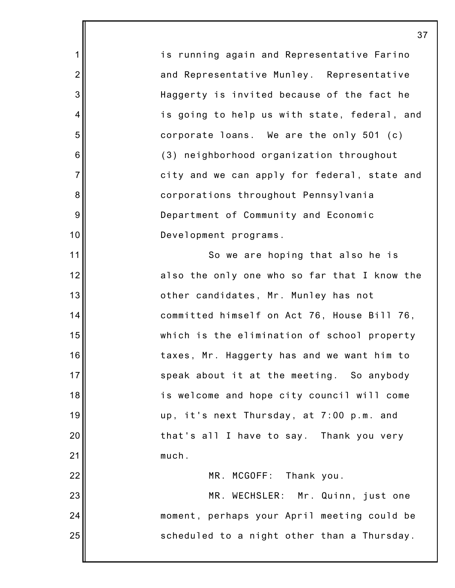1 2 3 4 5 6 7 8 9 10 11 12 13 14 15 16 17 18 19 20 21 22 23 24 25 is running again and Representative Farino and Representative Munley. Representative Haggerty is invited because of the fact he is going to help us with state, federal, and corporate loans. We are the only 501 (c) (3) neighborhood organization throughout city and we can apply for federal, state and corporations throughout Pennsylvania Department of Community and Economic Development programs. So we are hoping that also he is also the only one who so far that I know the other candidates, Mr. Munley has not committed himself on Act 76, House Bill 76, which is the elimination of school property taxes, Mr. Haggerty has and we want him to speak about it at the meeting. So anybody is welcome and hope city council will come up, it's next Thursday, at 7:00 p.m. and that's all I have to say. Thank you very much. MR. MCGOFF: Thank you. MR. WECHSLER: Mr. Quinn, just one moment, perhaps your April meeting could be scheduled to a night other than a Thursday.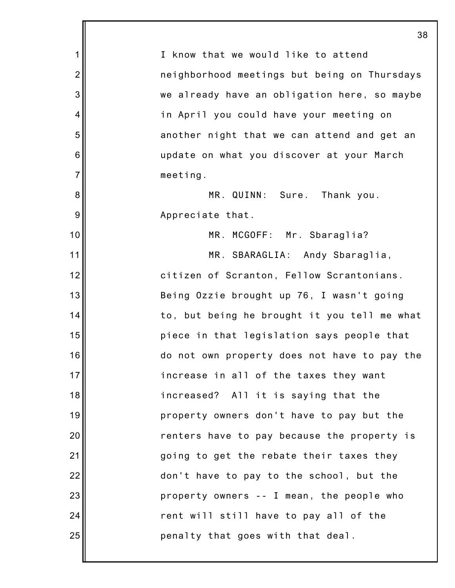|                | 38                                           |
|----------------|----------------------------------------------|
| 1              | I know that we would like to attend          |
| $\overline{2}$ | neighborhood meetings but being on Thursdays |
| 3              | we already have an obligation here, so maybe |
| 4              | in April you could have your meeting on      |
| 5              | another night that we can attend and get an  |
| 6              | update on what you discover at your March    |
| $\overline{7}$ | meeting.                                     |
| 8              | MR. QUINN: Sure. Thank you.                  |
| 9              | Appreciate that.                             |
| 10             | MR. MCGOFF: Mr. Sbaraglia?                   |
| 11             | MR. SBARAGLIA: Andy Sbaraglia,               |
| 12             | citizen of Scranton, Fellow Scrantonians.    |
| 13             | Being Ozzie brought up 76, I wasn't going    |
| 14             | to, but being he brought it you tell me what |
| 15             | piece in that legislation says people that   |
| 16             | do not own property does not have to pay the |
| 17             | increase in all of the taxes they want       |
| 18             | increased? All it is saying that the         |
| 19             | property owners don't have to pay but the    |
| 20             | renters have to pay because the property is  |
| 21             | going to get the rebate their taxes they     |
| 22             | don't have to pay to the school, but the     |
| 23             | property owners -- I mean, the people who    |
| 24             | rent will still have to pay all of the       |
| 25             | penalty that goes with that deal.            |
|                |                                              |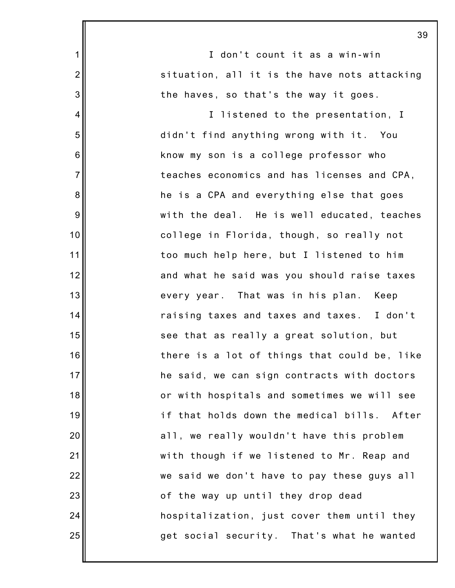|                | 39                                             |
|----------------|------------------------------------------------|
| $\mathbf 1$    | I don't count it as a win-win                  |
| $\overline{2}$ | situation, all it is the have nots attacking   |
| 3              | the haves, so that's the way it goes.          |
| 4              | I listened to the presentation, I              |
| 5              | didn't find anything wrong with it. You        |
| 6              | know my son is a college professor who         |
| $\overline{7}$ | teaches economics and has licenses and CPA,    |
| 8              | he is a CPA and everything else that goes      |
| 9              | with the deal. He is well educated, teaches    |
| 10             | college in Florida, though, so really not      |
| 11             | too much help here, but I listened to him      |
| 12             | and what he said was you should raise taxes    |
| 13             | every year. That was in his plan.<br>Keep      |
| 14             | raising taxes and taxes and taxes. I don't     |
| 15             | see that as really a great solution, but       |
| 16             | there is a lot of things that could be, like   |
| 17             | he said, we can sign contracts with doctors    |
| 18             | or with hospitals and sometimes we will see    |
| 19             | if that holds down the medical bills.<br>After |
| 20             | all, we really wouldn't have this problem      |
| 21             | with though if we listened to Mr. Reap and     |
| 22             | we said we don't have to pay these guys all    |
| 23             | of the way up until they drop dead             |
| 24             | hospitalization, just cover them until they    |
| 25             | get social security. That's what he wanted     |
|                |                                                |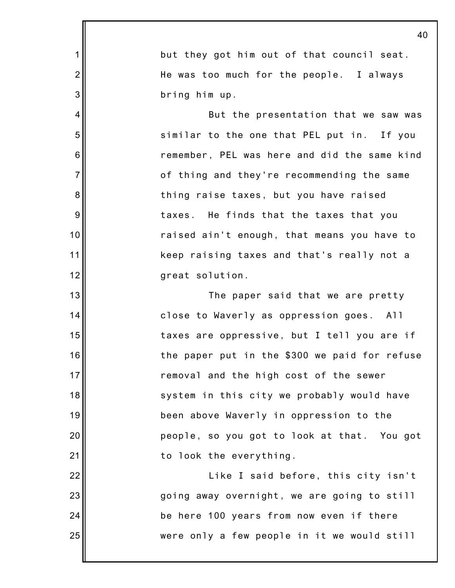|                | 40                                            |
|----------------|-----------------------------------------------|
| 1              | but they got him out of that council seat.    |
| $\overline{2}$ | He was too much for the people. I always      |
| 3              | bring him up.                                 |
| 4              | But the presentation that we saw was          |
| 5              | similar to the one that PEL put in. If you    |
| 6              | remember, PEL was here and did the same kind  |
| $\overline{7}$ | of thing and they're recommending the same    |
| 8              | thing raise taxes, but you have raised        |
| 9              | taxes. He finds that the taxes that you       |
| 10             | raised ain't enough, that means you have to   |
| 11             | keep raising taxes and that's really not a    |
| 12             | great solution.                               |
| 13             | The paper said that we are pretty             |
| 14             | close to Waverly as oppression goes. All      |
| 15             | taxes are oppressive, but I tell you are if   |
| 16             | the paper put in the \$300 we paid for refuse |
| 17             | removal and the high cost of the sewer        |
| 18             | system in this city we probably would have    |
| 19             | been above Waverly in oppression to the       |
| 20             | people, so you got to look at that. You got   |
| 21             | to look the everything.                       |
| 22             | Like I said before, this city isn't           |
| 23             | going away overnight, we are going to still   |
| 24             | be here 100 years from now even if there      |
| 25             | were only a few people in it we would still   |
|                |                                               |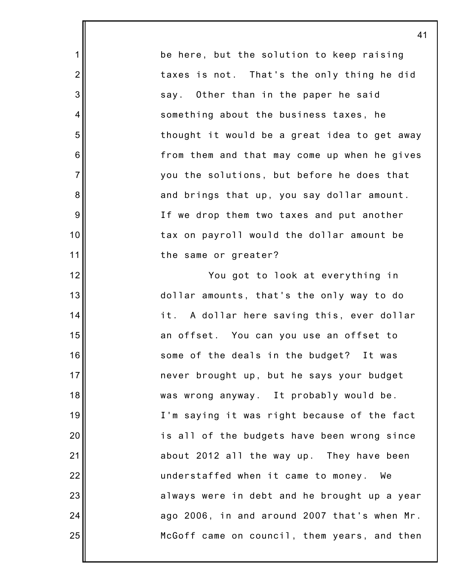be here, but the solution to keep raising taxes is not. That's the only thing he did say. Other than in the paper he said something about the business taxes, he thought it would be a great idea to get away from them and that may come up when he gives you the solutions, but before he does that and brings that up, you say dollar amount. If we drop them two taxes and put another tax on payroll would the dollar amount be the same or greater?

1

2

3

4

5

6

7

8

9

10

11

12

13

14

15

16

17

18

19

20

21

22

23

24

25

You got to look at everything in dollar amounts, that's the only way to do it. A dollar here saving this, ever dollar an offset. You can you use an offset to some of the deals in the budget? It was never brought up, but he says your budget was wrong anyway. It probably would be. I'm saying it was right because of the fact is all of the budgets have been wrong since about 2012 all the way up. They have been understaffed when it came to money. We always were in debt and he brought up a year ago 2006, in and around 2007 that's when Mr. McGoff came on council, them years, and then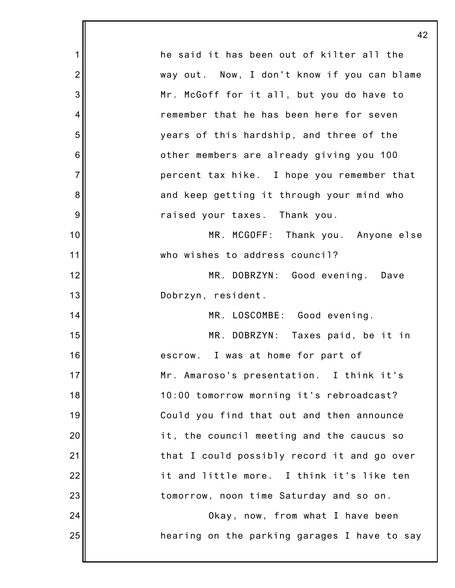|                | 42                                           |
|----------------|----------------------------------------------|
| 1              | he said it has been out of kilter all the    |
| $\overline{2}$ | way out. Now, I don't know if you can blame  |
| 3              | Mr. McGoff for it all, but you do have to    |
| 4              | remember that he has been here for seven     |
| 5              | years of this hardship, and three of the     |
| 6              | other members are already giving you 100     |
| $\overline{7}$ | percent tax hike. I hope you remember that   |
| 8              | and keep getting it through your mind who    |
| 9              | raised your taxes. Thank you.                |
| 10             | MR. MCGOFF: Thank you. Anyone else           |
| 11             | who wishes to address council?               |
| 12             | MR. DOBRZYN: Good evening. Dave              |
| 13             | Dobrzyn, resident.                           |
| 14             | MR. LOSCOMBE: Good evening.                  |
| 15             | MR.<br>DOBRZYN: Taxes paid, be it in         |
| 16             | escrow. I was at home for part of            |
| 17             | Mr. Amaroso's presentation. I think it's     |
| 18             | 10:00 tomorrow morning it's rebroadcast?     |
| 19             | Could you find that out and then announce    |
| 20             | it, the council meeting and the caucus so    |
| 21             | that I could possibly record it and go over  |
| 22             | it and little more. I think it's like ten    |
| 23             | tomorrow, noon time Saturday and so on.      |
| 24             | Okay, now, from what I have been             |
| 25             | hearing on the parking garages I have to say |
|                |                                              |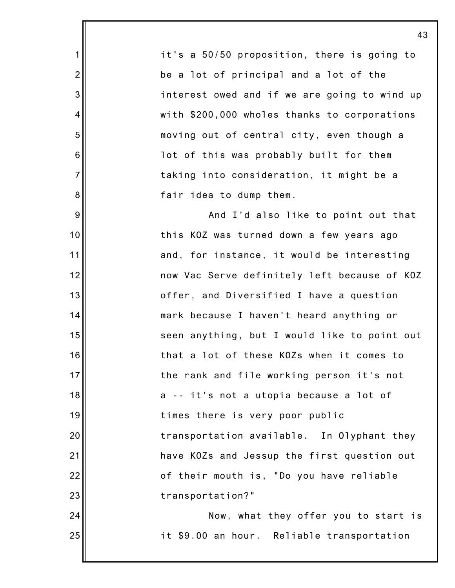it's a 50/50 proposition, there is going to be a lot of principal and a lot of the interest owed and if we are going to wind up with \$200,000 wholes thanks to corporations moving out of central city, even though a lot of this was probably built for them taking into consideration, it might be a fair idea to dump them.

1

2

3

4

5

6

7

8

9

10

11

12

13

14

15

16

17

18

19

20

21

22

23

24

25

And I'd also like to point out that this KOZ was turned down a few years ago and, for instance, it would be interesting now Vac Serve definitely left because of KOZ offer, and Diversified I have a question mark because I haven't heard anything or seen anything, but I would like to point out that a lot of these KOZs when it comes to the rank and file working person it's not a -- it's not a utopia because a lot of times there is very poor public transportation available. In Olyphant they have KOZs and Jessup the first question out of their mouth is, "Do you have reliable transportation?"

Now, what they offer you to start is it \$9.00 an hour. Reliable transportation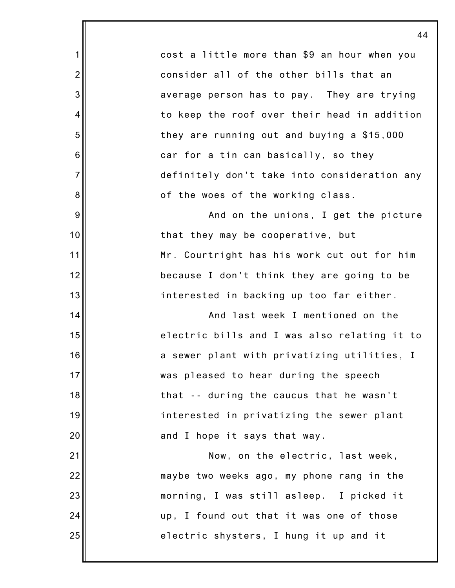1 2 3 4 5 6 7 8 9 10 11 12 13 14 15 16 17 18 19 20 21 22 23 24 25 44 cost a little more than \$9 an hour when you consider all of the other bills that an average person has to pay. They are trying to keep the roof over their head in addition they are running out and buying a \$15,000 car for a tin can basically, so they definitely don't take into consideration any of the woes of the working class. And on the unions, I get the picture that they may be cooperative, but Mr. Courtright has his work cut out for him because I don't think they are going to be interested in backing up too far either. And last week I mentioned on the electric bills and I was also relating it to a sewer plant with privatizing utilities, I was pleased to hear during the speech that -- during the caucus that he wasn't interested in privatizing the sewer plant and I hope it says that way. Now, on the electric, last week, maybe two weeks ago, my phone rang in the morning, I was still asleep. I picked it up, I found out that it was one of those electric shysters, I hung it up and it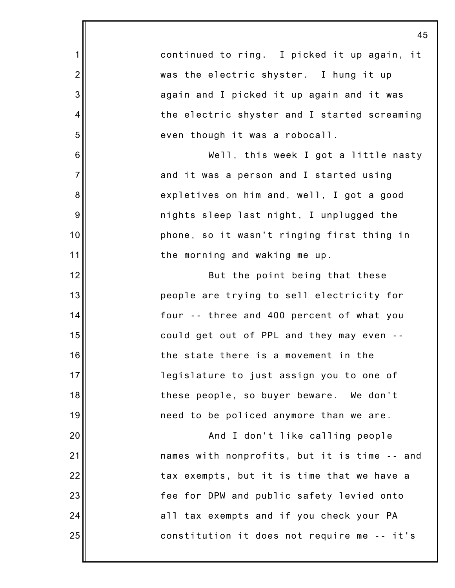|                | 4                                            |
|----------------|----------------------------------------------|
| 1              | continued to ring. I picked it up again, it  |
| $\overline{2}$ | was the electric shyster. I hung it up       |
| 3              | again and I picked it up again and it was    |
| 4              | the electric shyster and I started screaming |
| 5              | even though it was a robocall.               |
| 6              | Well, this week I got a little nasty         |
| $\overline{7}$ | and it was a person and I started using      |
| 8              | expletives on him and, well, I got a good    |
| 9              | nights sleep last night, I unplugged the     |
| 10             | phone, so it wasn't ringing first thing in   |
| 11             | the morning and waking me up.                |
| 12             | But the point being that these               |
| 13             | people are trying to sell electricity for    |
| 14             | four -- three and 400 percent of what you    |
| 15             | could get out of PPL and they may even       |
| 16             | the state there is a movement in the         |
| 17             | legislature to just assign you to one of     |
| 18             | these people, so buyer beware. We don't      |
| 19             | need to be policed anymore than we are.      |
| 20             | And I don't like calling people              |
| 21             | names with nonprofits, but it is time -- and |
| 22             | tax exempts, but it is time that we have a   |
| 23             | fee for DPW and public safety levied onto    |
| 24             | all tax exempts and if you check your PA     |
| 25             | constitution it does not require me -- it's  |
|                |                                              |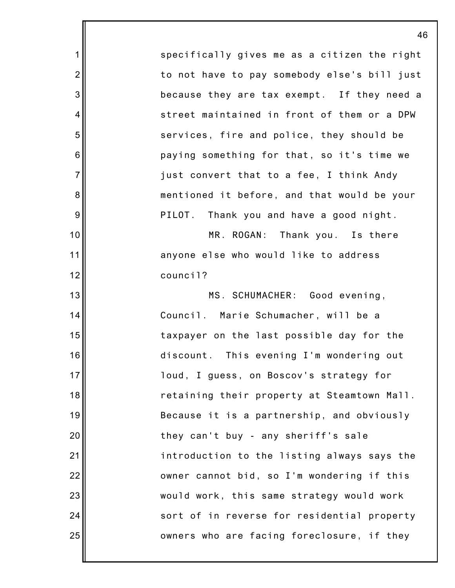specifically gives me as a citizen the right to not have to pay somebody else's bill just because they are tax exempt. If they need a street maintained in front of them or a DPW services, fire and police, they should be paying something for that, so it's time we just convert that to a fee, I think Andy mentioned it before, and that would be your PILOT. Thank you and have a good night.

1

2

3

4

5

6

7

8

9

10

11

12

13

14

15

16

17

18

19

20

21

22

23

24

25

MR. ROGAN: Thank you. Is there anyone else who would like to address council?

MS. SCHUMACHER: Good evening, Council. Marie Schumacher, will be a taxpayer on the last possible day for the discount. This evening I'm wondering out loud, I guess, on Boscov's strategy for retaining their property at Steamtown Mall. Because it is a partnership, and obviously they can't buy - any sheriff's sale introduction to the listing always says the owner cannot bid, so I'm wondering if this would work, this same strategy would work sort of in reverse for residential property owners who are facing foreclosure, if they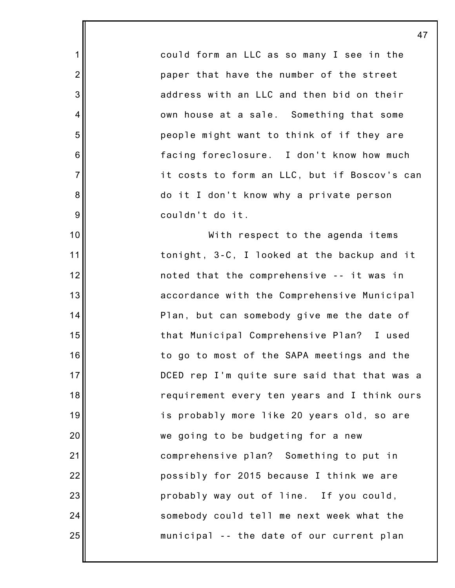could form an LLC as so many I see in the paper that have the number of the street address with an LLC and then bid on their own house at a sale. Something that some people might want to think of if they are facing foreclosure. I don't know how much it costs to form an LLC, but if Boscov's can do it I don't know why a private person couldn't do it.

1

2

3

4

5

6

7

8

9

10

11

12

13

14

15

16

17

18

19

20

21

22

23

24

25

With respect to the agenda items tonight, 3-C, I looked at the backup and it noted that the comprehensive -- it was in accordance with the Comprehensive Municipal Plan, but can somebody give me the date of that Municipal Comprehensive Plan? I used to go to most of the SAPA meetings and the DCED rep I'm quite sure said that that was a requirement every ten years and I think ours is probably more like 20 years old, so are we going to be budgeting for a new comprehensive plan? Something to put in possibly for 2015 because I think we are probably way out of line. If you could, somebody could tell me next week what the municipal -- the date of our current plan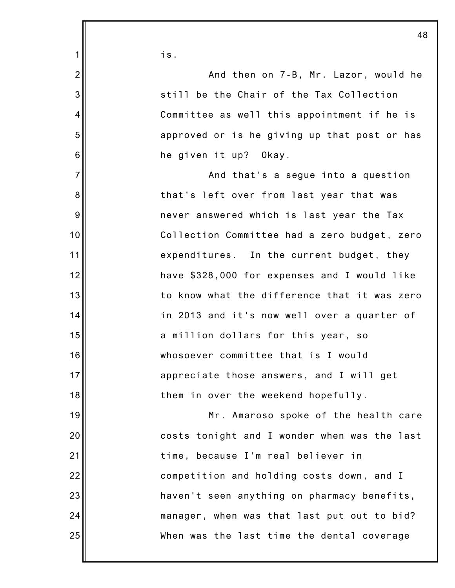|                | 48                                           |
|----------------|----------------------------------------------|
| 1              | is.                                          |
| $\overline{2}$ | And then on 7-B, Mr. Lazor, would he         |
| 3              | still be the Chair of the Tax Collection     |
| $\overline{4}$ | Committee as well this appointment if he is  |
| 5              | approved or is he giving up that post or has |
| 6              | he given it up? Okay.                        |
| $\overline{7}$ | And that's a segue into a question           |
| 8              | that's left over from last year that was     |
| 9              | never answered which is last year the Tax    |
| 10             | Collection Committee had a zero budget, zero |
| 11             | expenditures. In the current budget, they    |
| 12             | have \$328,000 for expenses and I would like |
| 13             | to know what the difference that it was zero |
| 14             | in 2013 and it's now well over a quarter of  |
| 15             | a million dollars for this year, so          |
| 16             | whosoever committee that is I would          |
| 17             | appreciate those answers, and I will get     |
| 18             | them in over the weekend hopefully.          |
| 19             | Mr. Amaroso spoke of the health care         |
| 20             | costs tonight and I wonder when was the last |
| 21             | time, because I'm real believer in           |
| 22             | competition and holding costs down, and I    |
| 23             | haven't seen anything on pharmacy benefits,  |
| 24             | manager, when was that last put out to bid?  |
| 25             | When was the last time the dental coverage   |
|                |                                              |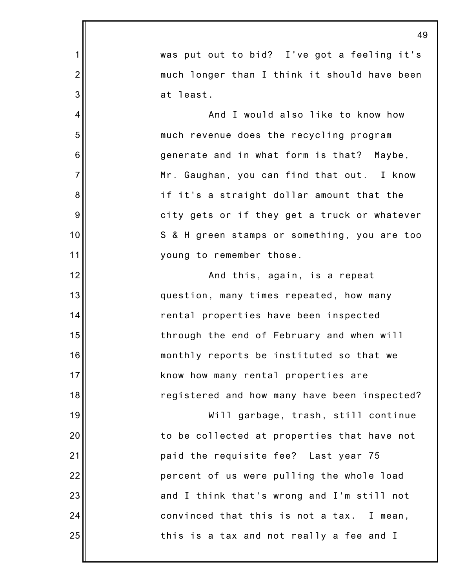|                | 49                                           |
|----------------|----------------------------------------------|
| 1              | was put out to bid? I've got a feeling it's  |
| $\overline{2}$ | much longer than I think it should have been |
| 3              | at least.                                    |
| 4              | And I would also like to know how            |
| 5              | much revenue does the recycling program      |
| 6              | generate and in what form is that? Maybe,    |
| $\overline{7}$ | Mr. Gaughan, you can find that out. I know   |
| 8              | if it's a straight dollar amount that the    |
| 9              | city gets or if they get a truck or whatever |
| 10             | S & H green stamps or something, you are too |
| 11             | young to remember those.                     |
| 12             | And this, again, is a repeat                 |
| 13             | question, many times repeated, how many      |
| 14             | rental properties have been inspected        |
| 15             | through the end of February and when will    |
| 16             | monthly reports be instituted so that we     |
| 17             | know how many rental properties are          |
| 18             | registered and how many have been inspected? |
| 19             | Will garbage, trash, still continue          |
| 20             | to be collected at properties that have not  |
| 21             | paid the requisite fee? Last year 75         |
| 22             | percent of us were pulling the whole load    |
| 23             | and I think that's wrong and I'm still not   |
| 24             | convinced that this is not a tax. I mean,    |
| 25             | this is a tax and not really a fee and I     |
|                |                                              |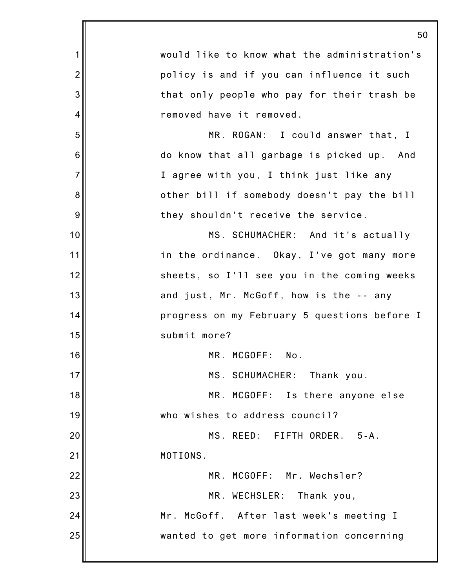|                | 50                                           |
|----------------|----------------------------------------------|
| 1              | would like to know what the administration's |
| $\overline{2}$ | policy is and if you can influence it such   |
| 3              | that only people who pay for their trash be  |
| 4              | removed have it removed.                     |
| 5              | MR. ROGAN: I could answer that, I            |
| 6              | do know that all garbage is picked up. And   |
| $\overline{7}$ | I agree with you, I think just like any      |
| 8              | other bill if somebody doesn't pay the bill  |
| 9              | they shouldn't receive the service.          |
| 10             | MS. SCHUMACHER: And it's actually            |
| 11             | in the ordinance. Okay, I've got many more   |
| 12             | sheets, so I'll see you in the coming weeks  |
| 13             | and just, Mr. McGoff, how is the -- any      |
| 14             | progress on my February 5 questions before I |
| 15             | submit more?                                 |
| 16             | MR. MCGOFF: No.                              |
| 17             | MS. SCHUMACHER: Thank you.                   |
| 18             | MR. MCGOFF: Is there anyone else             |
| 19             | who wishes to address council?               |
| 20             | MS. REED: FIFTH ORDER. 5-A.                  |
| 21             | MOTIONS.                                     |
| 22             | MR. MCGOFF: Mr. Wechsler?                    |
| 23             | MR. WECHSLER:<br>Thank you,                  |
| 24             | Mr. McGoff. After last week's meeting I      |
| 25             | wanted to get more information concerning    |
|                |                                              |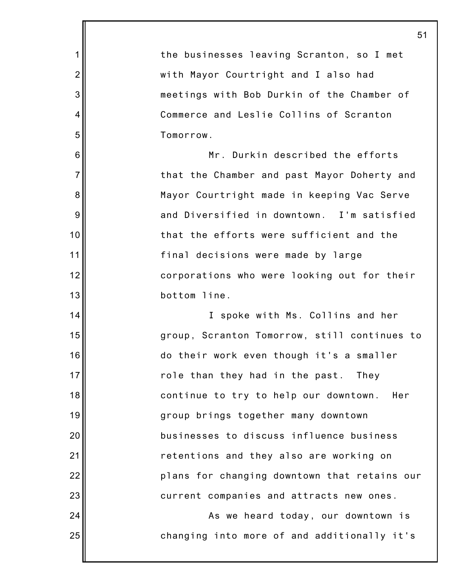|                 | 51                                           |
|-----------------|----------------------------------------------|
| 1               | the businesses leaving Scranton, so I met    |
| $\overline{2}$  | with Mayor Courtright and I also had         |
| 3               | meetings with Bob Durkin of the Chamber of   |
| 4               | Commerce and Leslie Collins of Scranton      |
| 5               | Tomorrow.                                    |
| $6\phantom{1}6$ | Mr. Durkin described the efforts             |
| $\overline{7}$  | that the Chamber and past Mayor Doherty and  |
| 8               | Mayor Courtright made in keeping Vac Serve   |
| 9               | and Diversified in downtown. I'm satisfied   |
| 10              | that the efforts were sufficient and the     |
| 11              | final decisions were made by large           |
| 12              | corporations who were looking out for their  |
| 13              | bottom line.                                 |
| 14              | I spoke with Ms. Collins and her             |
| 15              | group, Scranton Tomorrow, still continues to |
| 16              | do their work even though it's a smaller     |
| 17              | role than they had in the past.<br>They      |
| 18              | continue to try to help our downtown.<br>Her |
| 19              | group brings together many downtown          |
| 20              | businesses to discuss influence business     |
| 21              | retentions and they also are working on      |
| 22              | plans for changing downtown that retains our |
| 23              | current companies and attracts new ones.     |
| 24              | As we heard today, our downtown is           |
| 25              | changing into more of and additionally it's  |
|                 |                                              |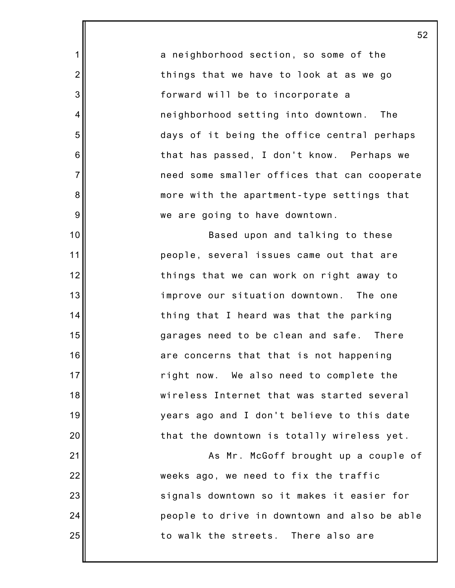a neighborhood section, so some of the things that we have to look at as we go forward will be to incorporate a neighborhood setting into downtown. The days of it being the office central perhaps that has passed, I don't know. Perhaps we need some smaller offices that can cooperate more with the apartment-type settings that we are going to have downtown.

1

2

3

4

5

6

7

8

9

10

11

12

13

14

15

16

17

18

19

20

21

22

23

24

25

Based upon and talking to these people, several issues came out that are things that we can work on right away to improve our situation downtown. The one thing that I heard was that the parking garages need to be clean and safe. There are concerns that that is not happening right now. We also need to complete the wireless Internet that was started several years ago and I don't believe to this date that the downtown is totally wireless yet.

As Mr. McGoff brought up a couple of weeks ago, we need to fix the traffic signals downtown so it makes it easier for people to drive in downtown and also be able to walk the streets. There also are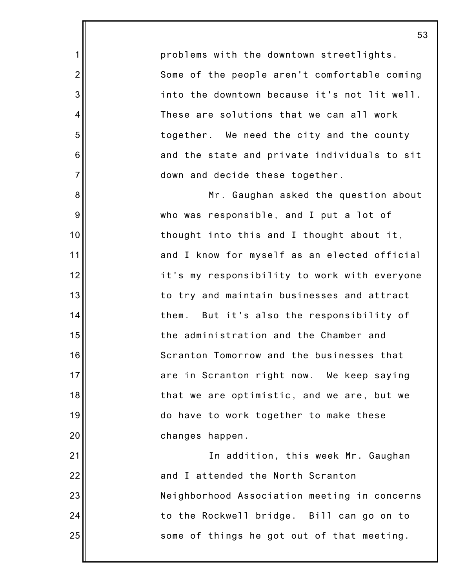problems with the downtown streetlights. Some of the people aren't comfortable coming into the downtown because it's not lit well. These are solutions that we can all work together. We need the city and the county and the state and private individuals to sit down and decide these together.

1

2

3

4

5

6

7

8

9

10

11

12

13

14

15

16

17

18

19

20

21

22

23

24

25

Mr. Gaughan asked the question about who was responsible, and I put a lot of thought into this and I thought about it, and I know for myself as an elected official it's my responsibility to work with everyone to try and maintain businesses and attract them. But it's also the responsibility of the administration and the Chamber and Scranton Tomorrow and the businesses that are in Scranton right now. We keep saying that we are optimistic, and we are, but we do have to work together to make these changes happen.

In addition, this week Mr. Gaughan and I attended the North Scranton Neighborhood Association meeting in concerns to the Rockwell bridge. Bill can go on to some of things he got out of that meeting.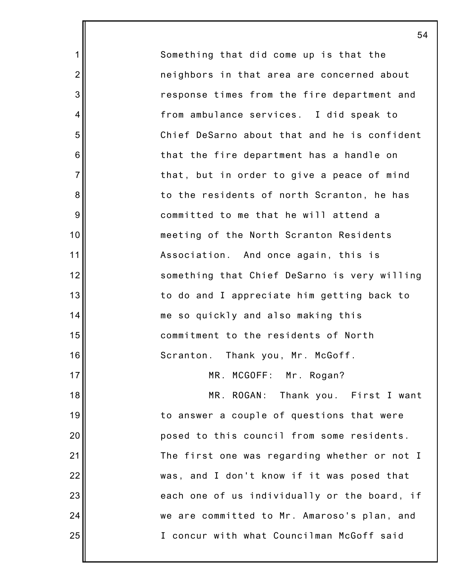Something that did come up is that the neighbors in that area are concerned about response times from the fire department and from ambulance services. I did speak to Chief DeSarno about that and he is confident that the fire department has a handle on that, but in order to give a peace of mind to the residents of north Scranton, he has committed to me that he will attend a meeting of the North Scranton Residents Association. And once again, this is something that Chief DeSarno is very willing to do and I appreciate him getting back to me so quickly and also making this commitment to the residents of North Scranton. Thank you, Mr. McGoff. MR. MCGOFF: Mr. Rogan? MR. ROGAN: Thank you. First I want to answer a couple of questions that were posed to this council from some residents. The first one was regarding whether or not I

1

2

3

4

5

6

7

8

9

10

11

12

13

14

15

16

17

18

19

20

21

22

23

24

25

was, and I don't know if it was posed that each one of us individually or the board, if we are committed to Mr. Amaroso's plan, and I concur with what Councilman McGoff said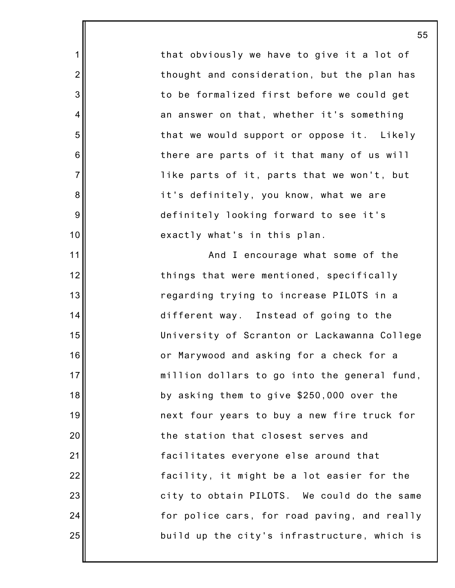that obviously we have to give it a lot of thought and consideration, but the plan has to be formalized first before we could get an answer on that, whether it's something that we would support or oppose it. Likely there are parts of it that many of us will like parts of it, parts that we won't, but it's definitely, you know, what we are definitely looking forward to see it's exactly what's in this plan.

1

2

3

4

5

6

7

8

9

10

11

12

13

14

15

16

17

18

19

20

21

22

23

24

25

And I encourage what some of the things that were mentioned, specifically regarding trying to increase PILOTS in a different way. Instead of going to the University of Scranton or Lackawanna College or Marywood and asking for a check for a million dollars to go into the general fund, by asking them to give \$250,000 over the next four years to buy a new fire truck for the station that closest serves and facilitates everyone else around that facility, it might be a lot easier for the city to obtain PILOTS. We could do the same for police cars, for road paving, and really build up the city's infrastructure, which is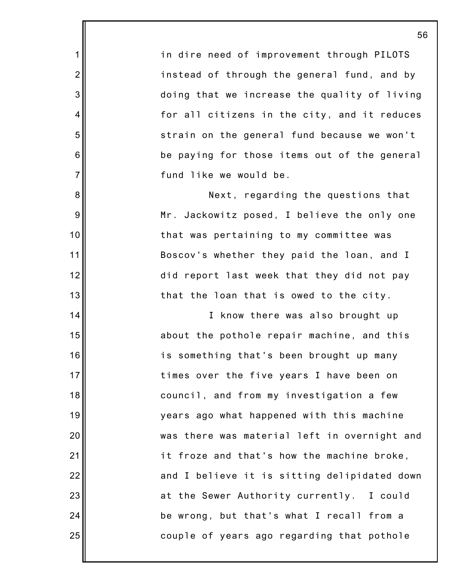in dire need of improvement through PILOTS instead of through the general fund, and by doing that we increase the quality of living for all citizens in the city, and it reduces strain on the general fund because we won't be paying for those items out of the general fund like we would be.

1

2

3

4

5

6

7

8

9

10

11

12

13

14

15

16

17

18

19

20

21

22

23

24

25

Next, regarding the questions that Mr. Jackowitz posed, I believe the only one that was pertaining to my committee was Boscov's whether they paid the loan, and I did report last week that they did not pay that the loan that is owed to the city.

I know there was also brought up about the pothole repair machine, and this is something that's been brought up many times over the five years I have been on council, and from my investigation a few years ago what happened with this machine was there was material left in overnight and it froze and that's how the machine broke, and I believe it is sitting delipidated down at the Sewer Authority currently. I could be wrong, but that's what I recall from a couple of years ago regarding that pothole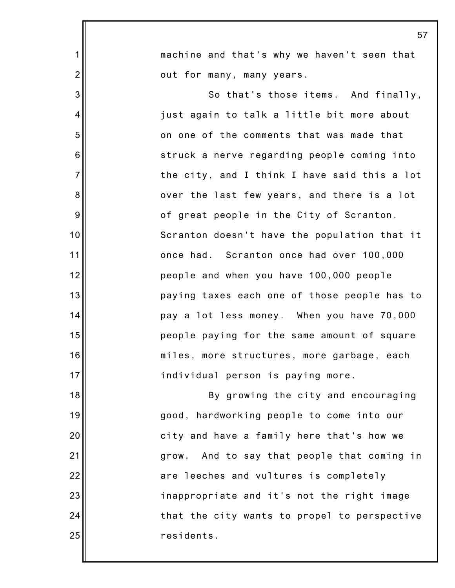|                  | 57                                           |
|------------------|----------------------------------------------|
| 1                | machine and that's why we haven't seen that  |
| $\overline{2}$   | out for many, many years.                    |
| 3                | So that's those items. And finally,          |
| 4                | just again to talk a little bit more about   |
| 5                | on one of the comments that was made that    |
| $\,6$            | struck a nerve regarding people coming into  |
| $\overline{7}$   | the city, and I think I have said this a lot |
| 8                | over the last few years, and there is a lot  |
| $\boldsymbol{9}$ | of great people in the City of Scranton.     |
| 10               | Scranton doesn't have the population that it |
| 11               | once had. Scranton once had over 100,000     |
| 12               | people and when you have 100,000 people      |
| 13               | paying taxes each one of those people has to |
| 14               | pay a lot less money. When you have 70,000   |
| 15               | people paying for the same amount of square  |
| 16               | miles, more structures, more garbage, each   |
| 17               | individual person is paying more.            |
| 18               | By growing the city and encouraging          |
| 19               | good, hardworking people to come into our    |
| 20               | city and have a family here that's how we    |
| 21               | grow. And to say that people that coming in  |
| 22               | are leeches and vultures is completely       |
| 23               | inappropriate and it's not the right image   |
| 24               | that the city wants to propel to perspective |
| 25               | residents.                                   |
|                  |                                              |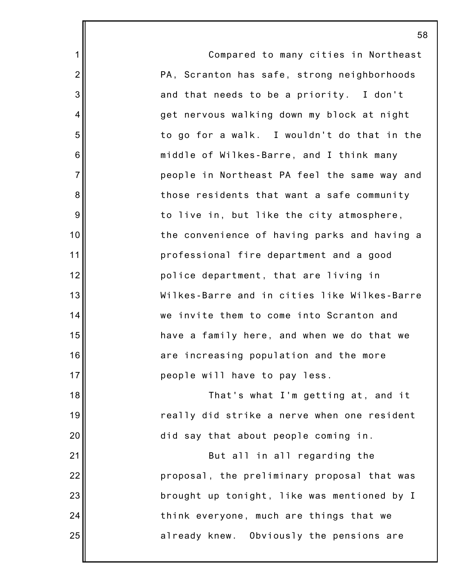|                 | 58                                           |
|-----------------|----------------------------------------------|
| $\mathbf 1$     | Compared to many cities in Northeast         |
| $\overline{2}$  | PA, Scranton has safe, strong neighborhoods  |
| 3               | and that needs to be a priority. I don't     |
| $\overline{4}$  | get nervous walking down my block at night   |
| 5               | to go for a walk. I wouldn't do that in the  |
| $6\phantom{1}6$ | middle of Wilkes-Barre, and I think many     |
| $\overline{7}$  | people in Northeast PA feel the same way and |
| 8               | those residents that want a safe community   |
| 9               | to live in, but like the city atmosphere,    |
| 10              | the convenience of having parks and having a |
| 11              | professional fire department and a good      |
| 12              | police department, that are living in        |
| 13              | Wilkes-Barre and in cities like Wilkes-Barre |
| 14              | we invite them to come into Scranton and     |
| 15              | have a family here, and when we do that we   |
| 16              | are increasing population and the more       |
| 17              | people will have to pay less.                |
| 18              | That's what I'm getting at, and it           |
| 19              | really did strike a nerve when one resident  |
| 20              | did say that about people coming in.         |
| 21              | But all in all regarding the                 |
| 22              | proposal, the preliminary proposal that was  |
| 23              | brought up tonight, like was mentioned by I  |
| 24              | think everyone, much are things that we      |
| 25              | already knew. Obviously the pensions are     |
|                 |                                              |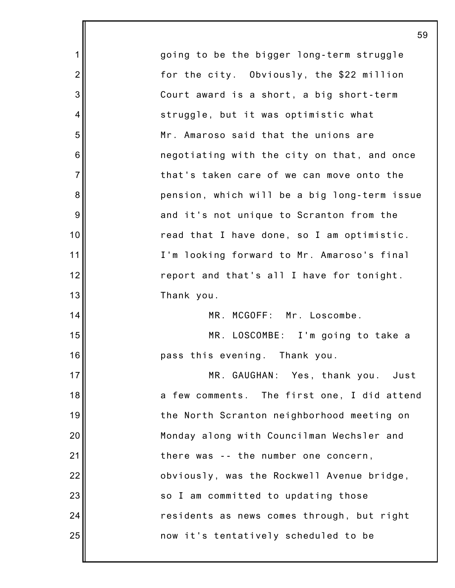going to be the bigger long-term struggle for the city. Obviously, the \$22 million Court award is a short, a big short-term struggle, but it was optimistic what Mr. Amaroso said that the unions are negotiating with the city on that, and once that's taken care of we can move onto the pension, which will be a big long-term issue and it's not unique to Scranton from the read that I have done, so I am optimistic. I'm looking forward to Mr. Amaroso's final report and that's all I have for tonight. Thank you. MR. MCGOFF: Mr. Loscombe. MR. LOSCOMBE: I'm going to take a pass this evening. Thank you. MR. GAUGHAN: Yes, thank you. Just a few comments. The first one, I did attend the North Scranton neighborhood meeting on Monday along with Councilman Wechsler and there was -- the number one concern, obviously, was the Rockwell Avenue bridge, so I am committed to updating those residents as news comes through, but right now it's tentatively scheduled to be

1

2

3

4

5

6

7

8

9

10

11

12

13

14

15

16

17

18

19

20

21

22

23

24

25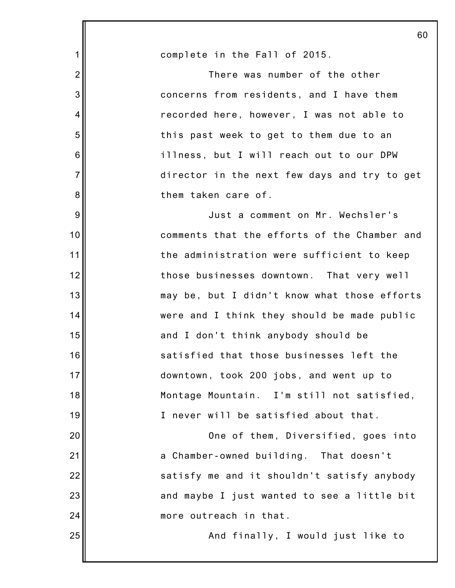|                | 60                                           |
|----------------|----------------------------------------------|
| 1              | complete in the Fall of 2015.                |
| $\overline{2}$ | There was number of the other                |
| 3              | concerns from residents, and I have them     |
| 4              | recorded here, however, I was not able to    |
| 5              | this past week to get to them due to an      |
| 6              | illness, but I will reach out to our DPW     |
| $\overline{7}$ | director in the next few days and try to get |
| 8              | them taken care of.                          |
| 9              | Just a comment on Mr. Wechsler's             |
| 10             | comments that the efforts of the Chamber and |
| 11             | the administration were sufficient to keep   |
| 12             | those businesses downtown. That very well    |
| 13             | may be, but I didn't know what those efforts |
| 14             | were and I think they should be made public  |
| 15             | and I don't think anybody should be          |
| 16             | satisfied that those businesses left the     |
| 17             | downtown, took 200 jobs, and went up to      |
| 18             | Montage Mountain. I'm still not satisfied,   |
| 19             | I never will be satisfied about that.        |
| 20             | One of them, Diversified, goes into          |
| 21             | a Chamber-owned building. That doesn't       |
| 22             | satisfy me and it shouldn't satisfy anybody  |
| 23             | and maybe I just wanted to see a little bit  |
| 24             | more outreach in that.                       |
| 25             | And finally, I would just like to            |
|                |                                              |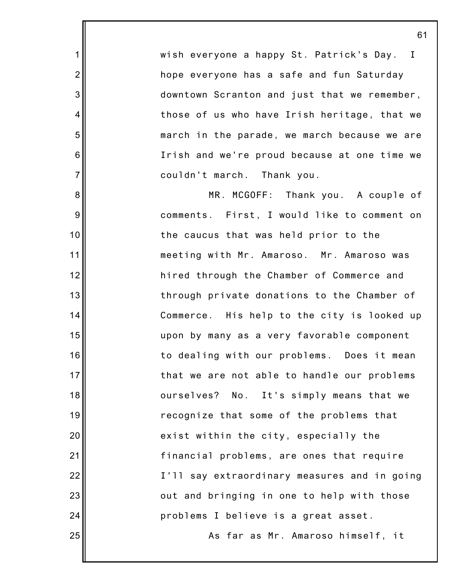wish everyone a happy St. Patrick's Day. I hope everyone has a safe and fun Saturday downtown Scranton and just that we remember, those of us who have Irish heritage, that we march in the parade, we march because we are Irish and we're proud because at one time we couldn't march. Thank you.

1

2

3

4

5

6

7

8

9

10

11

12

13

14

15

16

17

18

19

20

21

22

23

24

25

MR. MCGOFF: Thank you. A couple of comments. First, I would like to comment on the caucus that was held prior to the meeting with Mr. Amaroso. Mr. Amaroso was hired through the Chamber of Commerce and through private donations to the Chamber of Commerce. His help to the city is looked up upon by many as a very favorable component to dealing with our problems. Does it mean that we are not able to handle our problems ourselves? No. It's simply means that we recognize that some of the problems that exist within the city, especially the financial problems, are ones that require I'll say extraordinary measures and in going out and bringing in one to help with those problems I believe is a great asset.

As far as Mr. Amaroso himself, it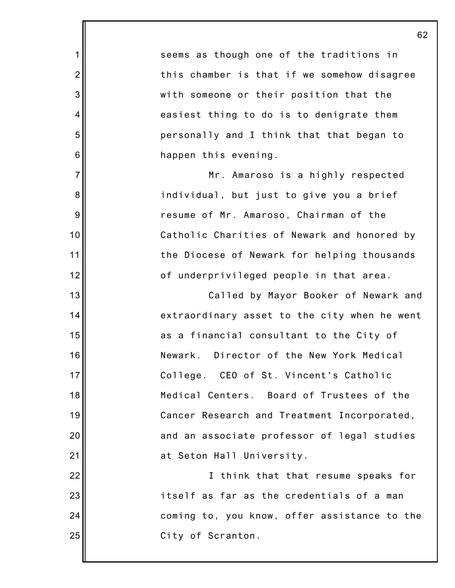seems as though one of the traditions in this chamber is that if we somehow disagree with someone or their position that the easiest thing to do is to denigrate them personally and I think that that began to happen this evening. Mr. Amaroso is a highly respected individual, but just to give you a brief resume of Mr. Amaroso, Chairman of the Catholic Charities of Newark and honored by the Diocese of Newark for helping thousands of underprivileged people in that area. Called by Mayor Booker of Newark and extraordinary asset to the city when he went as a financial consultant to the City of Newark. Director of the New York Medical College. CEO of St. Vincent's Catholic Medical Centers. Board of Trustees of the

1

2

3

4

5

6

7

8

9

10

11

12

13

14

15

16

17

18

19

20

21

22

23

24

25

Cancer Research and Treatment Incorporated, and an associate professor of legal studies at Seton Hall University.

I think that that resume speaks for itself as far as the credentials of a man coming to, you know, offer assistance to the City of Scranton.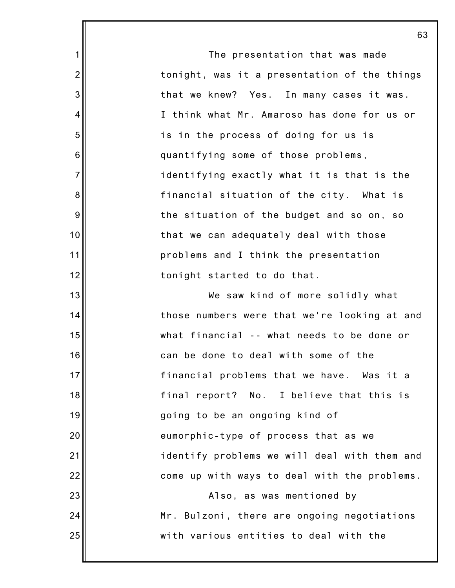The presentation that was made tonight, was it a presentation of the things that we knew? Yes. In many cases it was. I think what Mr. Amaroso has done for us or is in the process of doing for us is quantifying some of those problems, identifying exactly what it is that is the financial situation of the city. What is the situation of the budget and so on, so that we can adequately deal with those problems and I think the presentation tonight started to do that. We saw kind of more solidly what those numbers were that we're looking at and what financial -- what needs to be done or can be done to deal with some of the

1

2

3

4

5

6

7

8

9

10

11

12

13

14

15

16

17

18

19

20

21

22

23

24

25

financial problems that we have. Was it a final report? No. I believe that this is going to be an ongoing kind of eumorphic-type of process that as we identify problems we will deal with them and come up with ways to deal with the problems. Also, as was mentioned by Mr. Bulzoni, there are ongoing negotiations with various entities to deal with the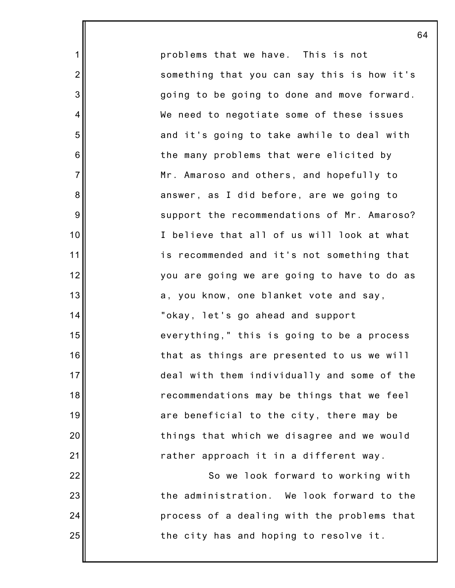problems that we have. This is not something that you can say this is how it's going to be going to done and move forward. We need to negotiate some of these issues and it's going to take awhile to deal with the many problems that were elicited by Mr. Amaroso and others, and hopefully to answer, as I did before, are we going to support the recommendations of Mr. Amaroso? I believe that all of us will look at what is recommended and it's not something that you are going we are going to have to do as a, you know, one blanket vote and say, "okay, let's go ahead and support everything," this is going to be a process that as things are presented to us we will deal with them individually and some of the recommendations may be things that we feel are beneficial to the city, there may be things that which we disagree and we would rather approach it in a different way. So we look forward to working with the administration. We look forward to the

1

2

3

4

5

6

7

8

9

10

11

12

13

14

15

16

17

18

19

20

21

22

23

24

25

the city has and hoping to resolve it.

process of a dealing with the problems that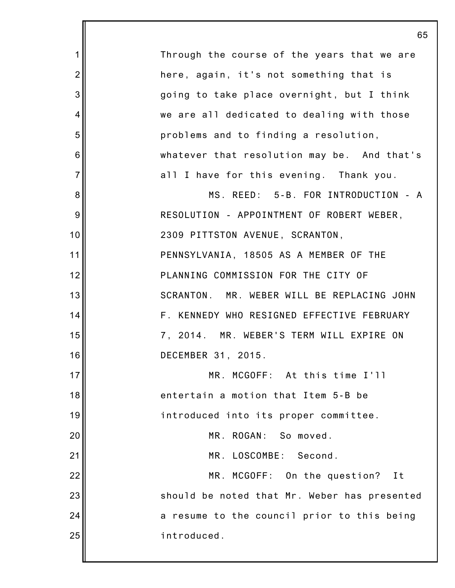|                | 65                                           |
|----------------|----------------------------------------------|
| 1              | Through the course of the years that we are  |
| $\overline{2}$ | here, again, it's not something that is      |
| 3              | going to take place overnight, but I think   |
| 4              | we are all dedicated to dealing with those   |
| 5              | problems and to finding a resolution,        |
| 6              | whatever that resolution may be. And that's  |
| $\overline{7}$ | all I have for this evening. Thank you.      |
| 8              | MS. REED: 5-B. FOR INTRODUCTION - A          |
| 9              | RESOLUTION - APPOINTMENT OF ROBERT WEBER,    |
| 10             | 2309 PITTSTON AVENUE, SCRANTON,              |
| 11             | PENNSYLVANIA, 18505 AS A MEMBER OF THE       |
| 12             | PLANNING COMMISSION FOR THE CITY OF          |
| 13             | SCRANTON. MR. WEBER WILL BE REPLACING JOHN   |
| 14             | F. KENNEDY WHO RESIGNED EFFECTIVE FEBRUARY   |
| 15             | 7, 2014. MR. WEBER'S TERM WILL EXPIRE ON     |
| 16             | DECEMBER 31, 2015.                           |
| 17             | MR.<br>MCGOFF: At this time I'll             |
| 18             | entertain a motion that Item 5-B be          |
| 19             | introduced into its proper committee.        |
| 20             | MR. ROGAN:<br>So moved.                      |
| 21             | MR. LOSCOMBE: Second.                        |
| 22             | MR. MCGOFF: On the question?<br>It           |
| 23             | should be noted that Mr. Weber has presented |
| 24             | a resume to the council prior to this being  |
| 25             | introduced.                                  |
|                |                                              |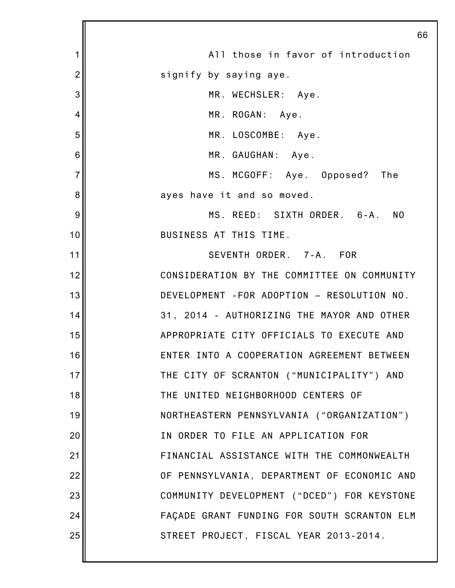|                | 66                                          |
|----------------|---------------------------------------------|
| 1              | All those in favor of introduction          |
| $\overline{2}$ | signify by saying aye.                      |
| 3              | MR. WECHSLER: Aye.                          |
| 4              | MR. ROGAN: Aye.                             |
| 5              | MR. LOSCOMBE: Aye.                          |
| 6              | MR. GAUGHAN: Aye.                           |
| $\overline{7}$ | MS. MCGOFF: Aye. Opposed? The               |
| 8              | ayes have it and so moved.                  |
| 9              | MS. REED: SIXTH ORDER. 6-A. NO              |
| 10             | BUSINESS AT THIS TIME.                      |
| 11             | SEVENTH ORDER. 7-A. FOR                     |
| 12             | CONSIDERATION BY THE COMMITTEE ON COMMUNITY |
| 13             | DEVELOPMENT - FOR ADOPTION - RESOLUTION NO. |
| 14             | 31, 2014 - AUTHORIZING THE MAYOR AND OTHER  |
| 15             | APPROPRIATE CITY OFFICIALS TO EXECUTE AND   |
| 16             | ENTER INTO A COOPERATION AGREEMENT BETWEEN  |
| 17             | THE CITY OF SCRANTON ("MUNICIPALITY") AND   |
| 18             | THE UNITED NEIGHBORHOOD CENTERS OF          |
| 19             | NORTHEASTERN PENNSYLVANIA ("ORGANIZATION")  |
| 20             | IN ORDER TO FILE AN APPLICATION FOR         |
| 21             | FINANCIAL ASSISTANCE WITH THE COMMONWEALTH  |
| 22             | OF PENNSYLVANIA, DEPARTMENT OF ECONOMIC AND |
| 23             | COMMUNITY DEVELOPMENT ("DCED") FOR KEYSTONE |
| 24             | FAÇADE GRANT FUNDING FOR SOUTH SCRANTON ELM |
| 25             | STREET PROJECT, FISCAL YEAR 2013-2014.      |
|                |                                             |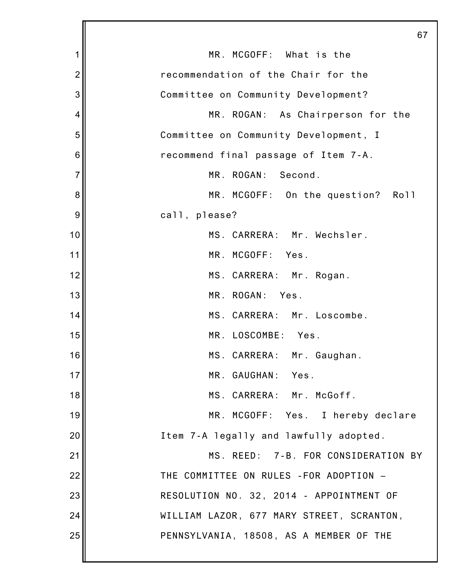|                | 67                                        |
|----------------|-------------------------------------------|
| 1              | MR. MCGOFF: What is the                   |
| $\overline{c}$ | recommendation of the Chair for the       |
| 3              | Committee on Community Development?       |
| 4              | MR. ROGAN: As Chairperson for the         |
| 5              | Committee on Community Development, I     |
| 6              | recommend final passage of Item 7-A.      |
| $\overline{7}$ | MR. ROGAN: Second.                        |
| 8              | MR. MCGOFF: On the question? Roll         |
| 9              | call, please?                             |
| 10             | MS. CARRERA: Mr. Wechsler.                |
| 11             | MR. MCGOFF: Yes.                          |
| 12             | MS. CARRERA: Mr. Rogan.                   |
| 13             | MR. ROGAN:<br>Yes.                        |
| 14             | MS. CARRERA: Mr. Loscombe.                |
| 15             | MR. LOSCOMBE:<br>Yes.                     |
| 16             | MS. CARRERA: Mr. Gaughan.                 |
| 17             | MR. GAUGHAN: Yes.                         |
| 18             | MS. CARRERA: Mr. McGoff.                  |
| 19             | MR. MCGOFF: Yes. I hereby declare         |
| 20             | Item 7-A legally and lawfully adopted.    |
| 21             | MS. REED: 7-B. FOR CONSIDERATION BY       |
| 22             | THE COMMITTEE ON RULES - FOR ADOPTION -   |
| 23             | RESOLUTION NO. 32, 2014 - APPOINTMENT OF  |
| 24             | WILLIAM LAZOR, 677 MARY STREET, SCRANTON, |
| 25             | PENNSYLVANIA, 18508, AS A MEMBER OF THE   |
|                |                                           |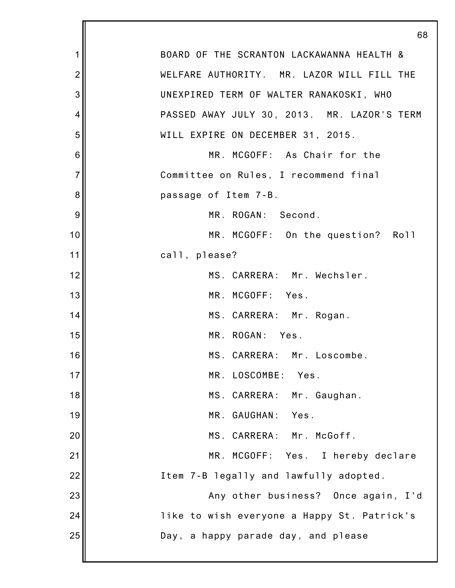|                | 68                                          |
|----------------|---------------------------------------------|
| 1              | BOARD OF THE SCRANTON LACKAWANNA HEALTH &   |
| $\overline{2}$ | WELFARE AUTHORITY. MR. LAZOR WILL FILL THE  |
| 3              | UNEXPIRED TERM OF WALTER RANAKOSKI, WHO     |
| 4              | PASSED AWAY JULY 30, 2013. MR. LAZOR'S TERM |
| 5              | WILL EXPIRE ON DECEMBER 31, 2015.           |
| 6              | MR. MCGOFF: As Chair for the                |
| $\overline{7}$ | Committee on Rules, I recommend final       |
| 8              | passage of Item 7-B.                        |
| 9              | MR. ROGAN: Second.                          |
| 10             | MR. MCGOFF: On the question? Roll           |
| 11             | call, please?                               |
| 12             | MS. CARRERA: Mr. Wechsler.                  |
| 13             | MR. MCGOFF: Yes.                            |
| 14             | MS. CARRERA: Mr. Rogan.                     |
| 15             | MR. ROGAN: Yes.                             |
| 16             | MS. CARRERA: Mr. Loscombe.                  |
| 17             | MR. LOSCOMBE: Yes.                          |
| 18             | MS. CARRERA: Mr. Gaughan.                   |
| 19             | MR. GAUGHAN: Yes.                           |
| 20             | MS. CARRERA: Mr. McGoff.                    |
| 21             | MR. MCGOFF: Yes. I hereby declare           |
| 22             | Item 7-B legally and lawfully adopted.      |
| 23             | Any other business? Once again, I'd         |
| 24             | like to wish everyone a Happy St. Patrick's |
| 25             | Day, a happy parade day, and please         |
|                |                                             |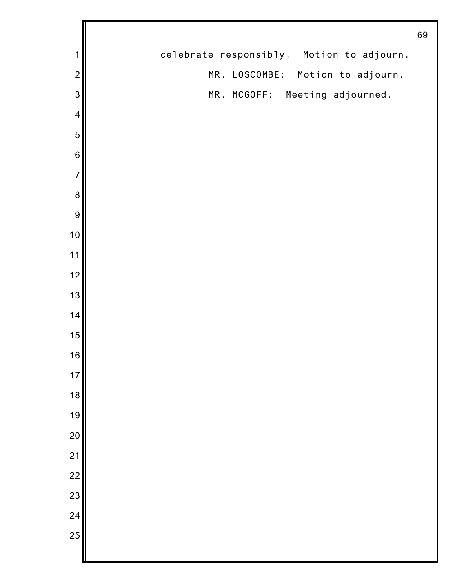|                          |                                           | 69 |
|--------------------------|-------------------------------------------|----|
| 1                        | celebrate responsibly. Motion to adjourn. |    |
| $\overline{2}$           | MR. LOSCOMBE: Motion to adjourn.          |    |
| 3                        | MR. MCGOFF: Meeting adjourned.            |    |
| $\overline{\mathcal{A}}$ |                                           |    |
| 5                        |                                           |    |
| $\,$ 6 $\,$              |                                           |    |
| $\overline{7}$           |                                           |    |
| $\bf 8$                  |                                           |    |
| $\overline{9}$           |                                           |    |
| 10                       |                                           |    |
| 11                       |                                           |    |
| 12                       |                                           |    |
| 13                       |                                           |    |
| 14                       |                                           |    |
| 15                       |                                           |    |
| 16                       |                                           |    |
| $17$                     |                                           |    |
| 18                       |                                           |    |
| 19                       |                                           |    |
| 20                       |                                           |    |
| 21                       |                                           |    |
| $\overline{22}$          |                                           |    |
| 23                       |                                           |    |
| 24                       |                                           |    |
| 25                       |                                           |    |
|                          |                                           |    |